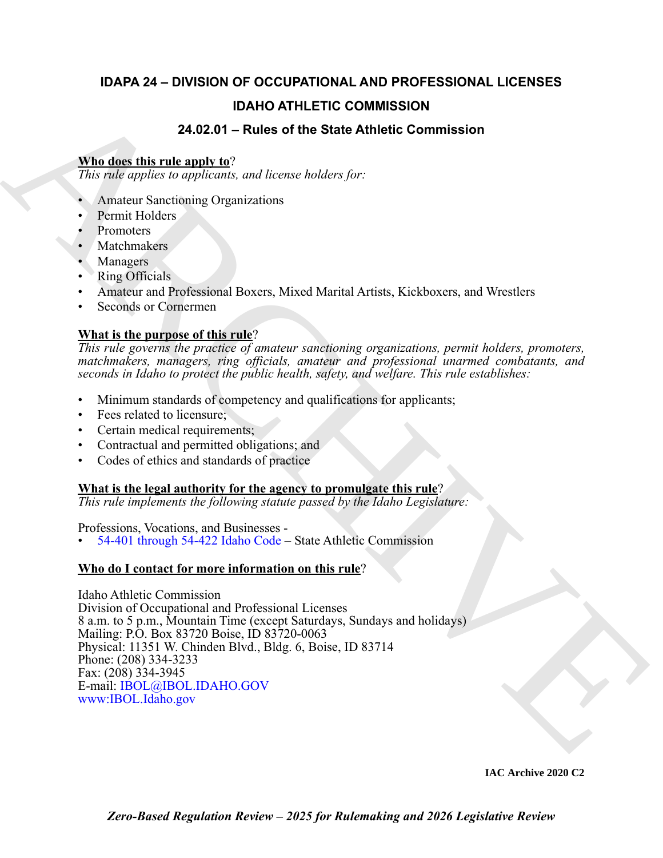# **IDAPA 24 – DIVISION OF OCCUPATIONAL AND PROFESSIONAL LICENSES**

# **IDAHO ATHLETIC COMMISSION**

# **24.02.01 – Rules of the State Athletic Commission**

## **Who does this rule apply to**?

*This rule applies to applicants, and license holders for:*

- Amateur Sanctioning Organizations
- Permit Holders
- Promoters
- **Matchmakers**
- **Managers**
- Ring Officials
- Amateur and Professional Boxers, Mixed Marital Artists, Kickboxers, and Wrestlers
- Seconds or Cornermen

# **What is the purpose of this rule**?

*This rule governs the practice of amateur sanctioning organizations, permit holders, promoters, matchmakers, managers, ring officials, amateur and professional unarmed combatants, and seconds in Idaho to protect the public health, safety, and welfare. This rule establishes:*

- Minimum standards of competency and qualifications for applicants;
- Fees related to licensure;
- Certain medical requirements;
- Contractual and permitted obligations; and
- Codes of ethics and standards of practice

## **What is the legal authority for the agency to promulgate this rule**?

*This rule implements the following statute passed by the Idaho Legislature:*

Professions, Vocations, and Businesses -

• 54-401 through 54-422 Idaho Code – State Athletic Commission

# **Who do I contact for more information on this rule**?

**DA[H](https://legislature.idaho.gov/statutesrules/idstat/Title54/T54CH4/)O ATHLETIC COMMISSION**<br>
24.02.01 – Poles of the State Athletic Commission<br>
The *rale of the State and the State and the State Athletic Commission*<br>
27.02 – A musture Sanching Organizations<br>
2. Amustus Sanching Organiz Idaho Athletic Commission Division of Occupational and Professional Licenses 8 a.m. to 5 p.m., Mountain Time (except Saturdays, Sundays and holidays) Mailing: P.O. Box 83720 Boise, ID 83720-0063 Physical: 11351 W. Chinden Blvd., Bldg. 6, Boise, ID 83714 Phone: (208) 334-3233 Fax: (208) 334-3945 E-mail: IBOL@IBOL.IDAHO.GOV www:IBOL.Idaho.gov

**IAC Archive 2020 C2**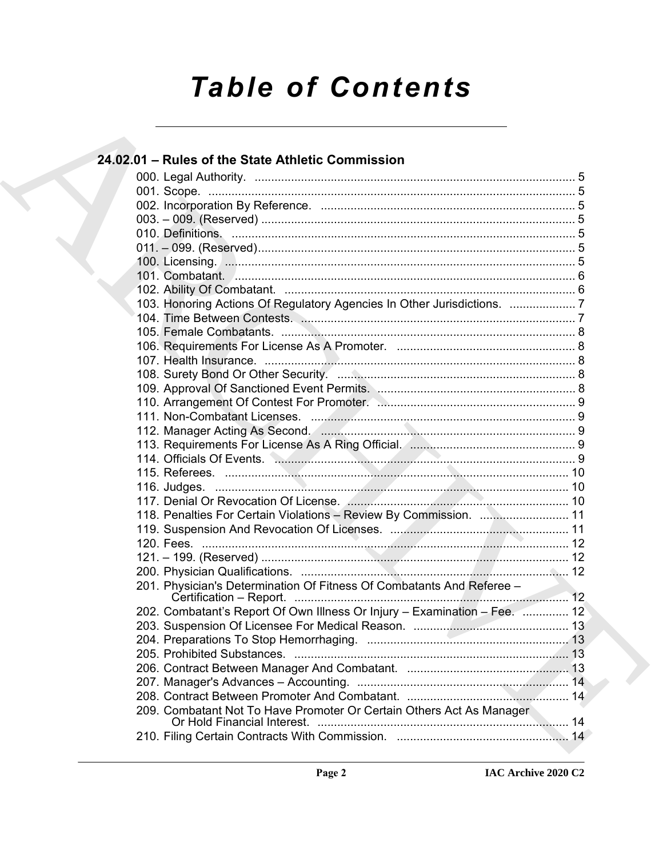# **Table of Contents**

|  | 24.02.01 - Rules of the State Athletic Commission                         |  |
|--|---------------------------------------------------------------------------|--|
|  |                                                                           |  |
|  |                                                                           |  |
|  |                                                                           |  |
|  |                                                                           |  |
|  |                                                                           |  |
|  |                                                                           |  |
|  |                                                                           |  |
|  |                                                                           |  |
|  |                                                                           |  |
|  | 103. Honoring Actions Of Regulatory Agencies In Other Jurisdictions. 7    |  |
|  |                                                                           |  |
|  |                                                                           |  |
|  |                                                                           |  |
|  |                                                                           |  |
|  |                                                                           |  |
|  |                                                                           |  |
|  |                                                                           |  |
|  |                                                                           |  |
|  |                                                                           |  |
|  |                                                                           |  |
|  |                                                                           |  |
|  |                                                                           |  |
|  |                                                                           |  |
|  |                                                                           |  |
|  | 118. Penalties For Certain Violations - Review By Commission.  11         |  |
|  |                                                                           |  |
|  |                                                                           |  |
|  |                                                                           |  |
|  | 201. Physician's Determination Of Fitness Of Combatants And Referee -     |  |
|  |                                                                           |  |
|  | 202. Combatant's Report Of Own Illness Or Injury - Examination - Fee.  12 |  |
|  |                                                                           |  |
|  |                                                                           |  |
|  |                                                                           |  |
|  |                                                                           |  |
|  |                                                                           |  |
|  |                                                                           |  |
|  | 209. Combatant Not To Have Promoter Or Certain Others Act As Manager      |  |
|  |                                                                           |  |
|  |                                                                           |  |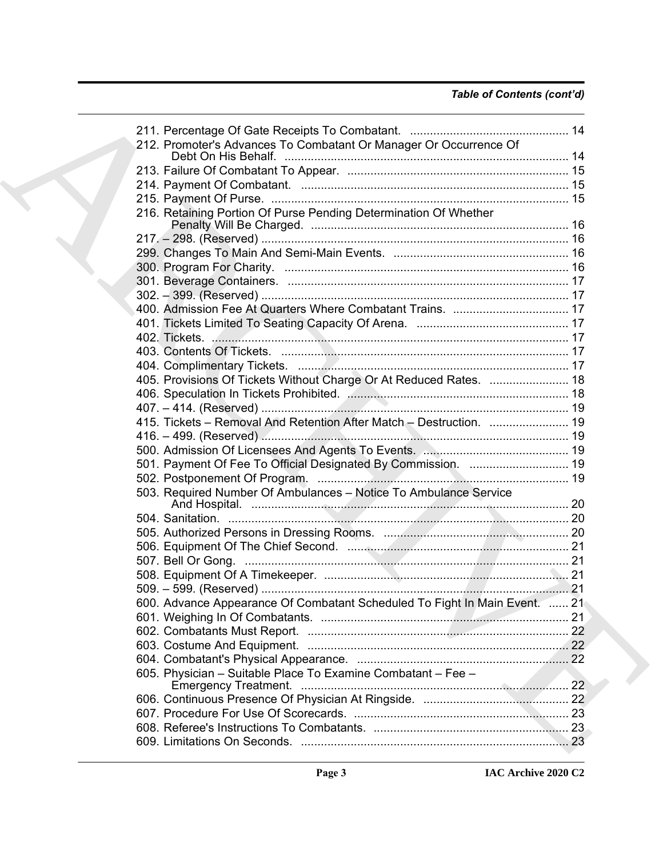| 212. Promoter's Advances To Combatant Or Manager Or Occurrence Of          |  |
|----------------------------------------------------------------------------|--|
|                                                                            |  |
|                                                                            |  |
|                                                                            |  |
| 216. Retaining Portion Of Purse Pending Determination Of Whether           |  |
|                                                                            |  |
|                                                                            |  |
|                                                                            |  |
|                                                                            |  |
|                                                                            |  |
|                                                                            |  |
|                                                                            |  |
|                                                                            |  |
|                                                                            |  |
|                                                                            |  |
|                                                                            |  |
| 405. Provisions Of Tickets Without Charge Or At Reduced Rates.  18         |  |
|                                                                            |  |
|                                                                            |  |
| 415. Tickets - Removal And Retention After Match - Destruction.  19        |  |
|                                                                            |  |
|                                                                            |  |
| 501. Payment Of Fee To Official Designated By Commission.  19              |  |
|                                                                            |  |
| 503. Required Number Of Ambulances - Notice To Ambulance Service           |  |
|                                                                            |  |
|                                                                            |  |
|                                                                            |  |
|                                                                            |  |
|                                                                            |  |
|                                                                            |  |
|                                                                            |  |
| 600. Advance Appearance Of Combatant Scheduled To Fight In Main Event.  21 |  |
|                                                                            |  |
|                                                                            |  |
|                                                                            |  |
|                                                                            |  |
| 605. Physician - Suitable Place To Examine Combatant - Fee -               |  |
|                                                                            |  |
|                                                                            |  |
|                                                                            |  |
|                                                                            |  |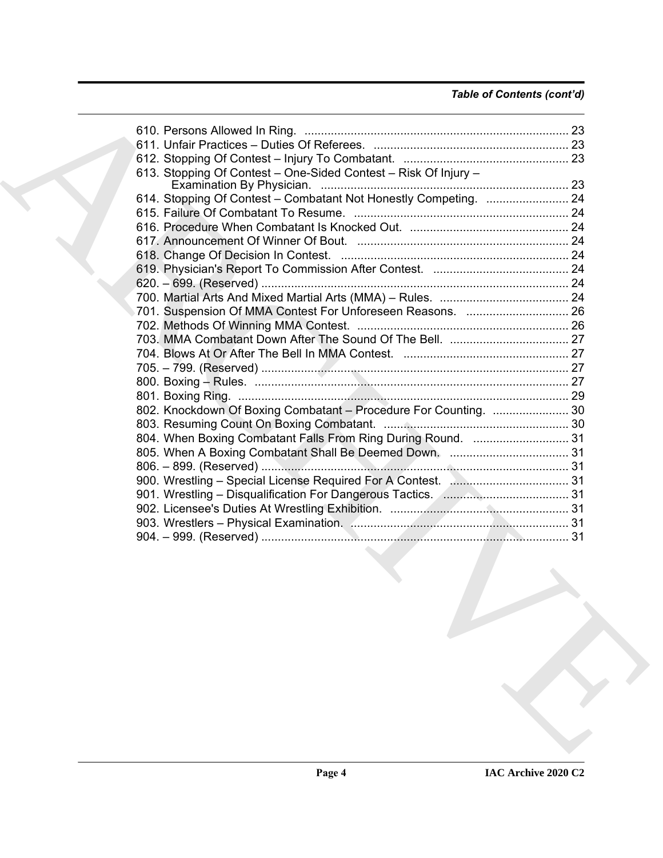# *Table of Contents (cont'd)*

| 613. Stopping Of Contest - One-Sided Contest - Risk Of Injury -  |  |
|------------------------------------------------------------------|--|
|                                                                  |  |
| 614. Stopping Of Contest - Combatant Not Honestly Competing.  24 |  |
|                                                                  |  |
|                                                                  |  |
|                                                                  |  |
|                                                                  |  |
|                                                                  |  |
|                                                                  |  |
|                                                                  |  |
|                                                                  |  |
|                                                                  |  |
|                                                                  |  |
|                                                                  |  |
|                                                                  |  |
|                                                                  |  |
|                                                                  |  |
| 802. Knockdown Of Boxing Combatant - Procedure For Counting.  30 |  |
|                                                                  |  |
| 804. When Boxing Combatant Falls From Ring During Round.  31     |  |
|                                                                  |  |
|                                                                  |  |
|                                                                  |  |
|                                                                  |  |
|                                                                  |  |
|                                                                  |  |
|                                                                  |  |
|                                                                  |  |
|                                                                  |  |
|                                                                  |  |
|                                                                  |  |
|                                                                  |  |
|                                                                  |  |
|                                                                  |  |
|                                                                  |  |
|                                                                  |  |
|                                                                  |  |
|                                                                  |  |
|                                                                  |  |
|                                                                  |  |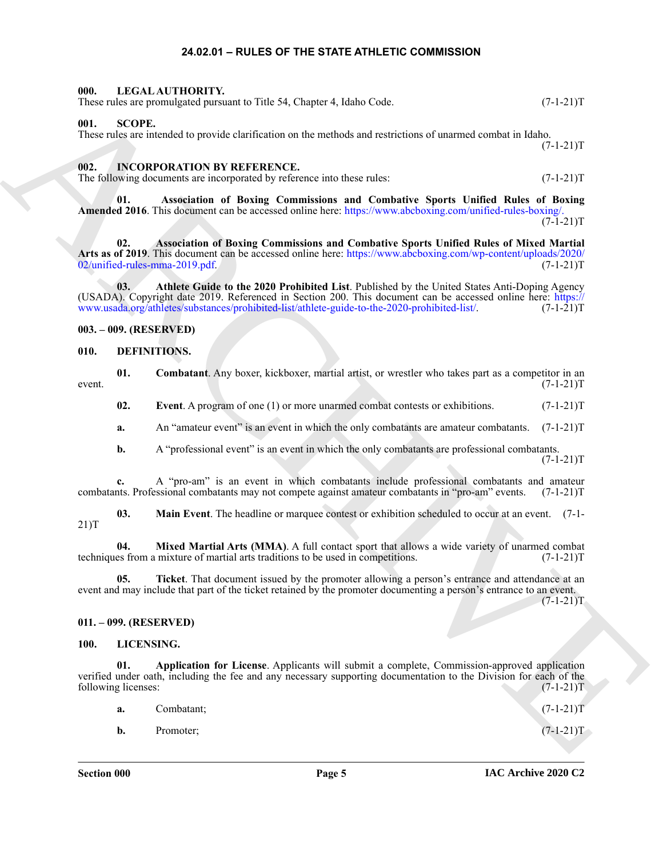#### **24.02.01 – RULES OF THE STATE ATHLETIC COMMISSION**

<span id="page-4-17"></span><span id="page-4-1"></span><span id="page-4-0"></span>

| 000. | LEGAL AUTHORITY.                                                         |             |
|------|--------------------------------------------------------------------------|-------------|
|      | These rules are promulgated pursuant to Title 54, Chapter 4, Idaho Code. | $(7-1-21)T$ |

#### <span id="page-4-20"></span><span id="page-4-2"></span>**001. SCOPE.**

#### <span id="page-4-15"></span><span id="page-4-14"></span><span id="page-4-3"></span>**002. INCORPORATION BY REFERENCE.**

#### <span id="page-4-16"></span><span id="page-4-4"></span>**003. – 009. (RESERVED)**

#### <span id="page-4-8"></span><span id="page-4-5"></span>**010. DEFINITIONS.**

<span id="page-4-10"></span><span id="page-4-9"></span>

|       | <b>Combatant.</b> Any boxer, kickboxer, martial artist, or wrestler who takes part as a competitor in an |
|-------|----------------------------------------------------------------------------------------------------------|
| event | $(7-1-21)T$                                                                                              |

#### <span id="page-4-13"></span><span id="page-4-12"></span><span id="page-4-11"></span><span id="page-4-6"></span>**011. – 099. (RESERVED)**

#### <span id="page-4-19"></span><span id="page-4-18"></span><span id="page-4-7"></span>**100. LICENSING.**

|        |                            | These rules are promulgated pursuant to Title 54, Chapter 4, Idaho Code.                                                                                                                                                                                                                                      | $(7-1-21)T$ |
|--------|----------------------------|---------------------------------------------------------------------------------------------------------------------------------------------------------------------------------------------------------------------------------------------------------------------------------------------------------------|-------------|
| 001.   | <b>SCOPE.</b>              | These rules are intended to provide clarification on the methods and restrictions of unarmed combat in Idaho.                                                                                                                                                                                                 | $(7-1-21)T$ |
| 002.   |                            | <b>INCORPORATION BY REFERENCE.</b><br>The following documents are incorporated by reference into these rules:                                                                                                                                                                                                 | $(7-1-21)T$ |
|        | 01.                        | Association of Boxing Commissions and Combative Sports Unified Rules of Boxing<br>Amended 2016. This document can be accessed online here: https://www.abcboxing.com/unified-rules-boxing/.                                                                                                                   | $(7-1-21)T$ |
|        | 02.                        | Association of Boxing Commissions and Combative Sports Unified Rules of Mixed Martial<br>Arts as of 2019. This document can be accessed online here: https://www.abcboxing.com/wp-content/uploads/2020/<br>02/unified-rules-mma-2019.pdf.                                                                     | $(7-1-21)T$ |
|        | 03.                        | Athlete Guide to the 2020 Prohibited List. Published by the United States Anti-Doping Agency<br>(USADA). Copyright date 2019. Referenced in Section 200. This document can be accessed online here: https://<br>www.usada.org/athletes/substances/prohibited-list/athlete-guide-to-the-2020-prohibited-list/. | $(7-1-21)T$ |
|        |                            | $003. - 009.$ (RESERVED)                                                                                                                                                                                                                                                                                      |             |
| 010.   |                            | DEFINITIONS.                                                                                                                                                                                                                                                                                                  |             |
| event. | 01.                        | Combatant. Any boxer, kickboxer, martial artist, or wrestler who takes part as a competitor in an                                                                                                                                                                                                             | $(7-1-21)T$ |
|        | 02.                        | Event. A program of one (1) or more unarmed combat contests or exhibitions.                                                                                                                                                                                                                                   | $(7-1-21)T$ |
|        | a.                         | An "amateur event" is an event in which the only combatants are amateur combatants.                                                                                                                                                                                                                           | $(7-1-21)T$ |
|        | b.                         | A "professional event" is an event in which the only combatants are professional combatants.                                                                                                                                                                                                                  | $(7-1-21)T$ |
|        | c.                         | A "pro-am" is an event in which combatants include professional combatants and amateur<br>combatants. Professional combatants may not compete against amateur combatants in "pro-am" events.                                                                                                                  | $(7-1-21)T$ |
| 21)T   | 03.                        | <b>Main Event</b> . The headline or marquee contest or exhibition scheduled to occur at an event. (7-1-                                                                                                                                                                                                       |             |
|        | 04.                        | Mixed Martial Arts (MMA). A full contact sport that allows a wide variety of unarmed combat<br>techniques from a mixture of martial arts traditions to be used in competitions.                                                                                                                               | $(7-1-21)T$ |
|        | 05.                        | Ticket. That document issued by the promoter allowing a person's entrance and attendance at an<br>event and may include that part of the ticket retained by the promoter documenting a person's entrance to an event.                                                                                         | $(7-1-21)T$ |
|        |                            | 011. - 099. (RESERVED)                                                                                                                                                                                                                                                                                        |             |
| 100.   | LICENSING.                 |                                                                                                                                                                                                                                                                                                               |             |
|        | 01.<br>following licenses: | Application for License. Applicants will submit a complete, Commission-approved application<br>verified under oath, including the fee and any necessary supporting documentation to the Division for each of the                                                                                              | $(7-1-21)T$ |
|        | a.                         | Combatant;                                                                                                                                                                                                                                                                                                    | $(7-1-21)T$ |
|        | b.                         | Promoter;                                                                                                                                                                                                                                                                                                     | $(7-1-21)T$ |
|        |                            |                                                                                                                                                                                                                                                                                                               |             |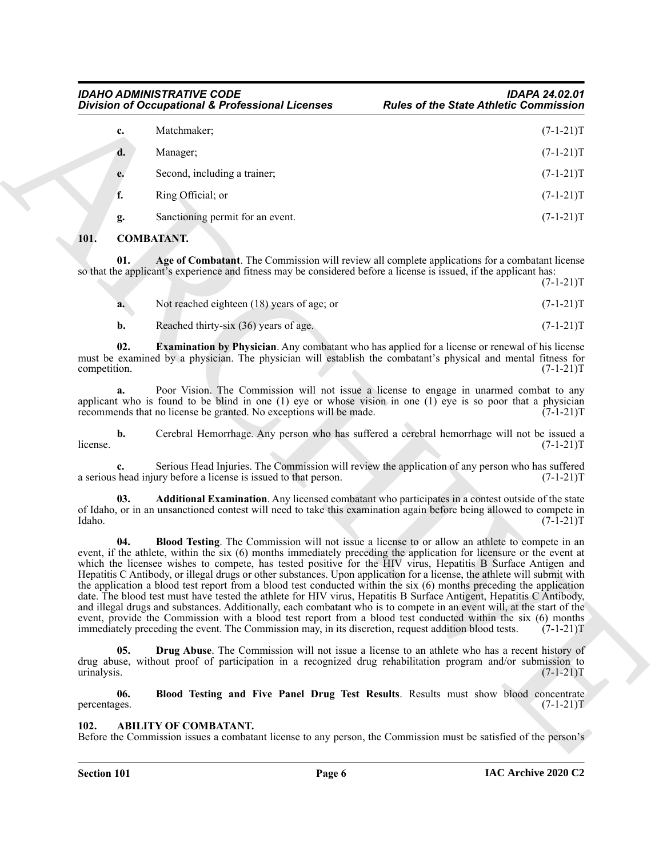|              |     | <b>Division of Occupational &amp; Professional Licenses</b>                                                        | <b>Rules of the State Athletic Commission</b>                                                                                                                                                                                                                                                                                                                                                                                                                                                                                                                                                                                                                                                                                                                                                                                                                                                                                                                                     |
|--------------|-----|--------------------------------------------------------------------------------------------------------------------|-----------------------------------------------------------------------------------------------------------------------------------------------------------------------------------------------------------------------------------------------------------------------------------------------------------------------------------------------------------------------------------------------------------------------------------------------------------------------------------------------------------------------------------------------------------------------------------------------------------------------------------------------------------------------------------------------------------------------------------------------------------------------------------------------------------------------------------------------------------------------------------------------------------------------------------------------------------------------------------|
|              | c.  | Matchmaker;                                                                                                        | $(7-1-21)T$                                                                                                                                                                                                                                                                                                                                                                                                                                                                                                                                                                                                                                                                                                                                                                                                                                                                                                                                                                       |
|              | d.  | Manager;                                                                                                           | $(7-1-21)T$                                                                                                                                                                                                                                                                                                                                                                                                                                                                                                                                                                                                                                                                                                                                                                                                                                                                                                                                                                       |
|              | e.  | Second, including a trainer;                                                                                       | $(7-1-21)T$                                                                                                                                                                                                                                                                                                                                                                                                                                                                                                                                                                                                                                                                                                                                                                                                                                                                                                                                                                       |
|              | f.  | Ring Official; or                                                                                                  | $(7-1-21)T$                                                                                                                                                                                                                                                                                                                                                                                                                                                                                                                                                                                                                                                                                                                                                                                                                                                                                                                                                                       |
|              | g.  | Sanctioning permit for an event.                                                                                   | $(7-1-21)T$                                                                                                                                                                                                                                                                                                                                                                                                                                                                                                                                                                                                                                                                                                                                                                                                                                                                                                                                                                       |
| 101.         |     | <b>COMBATANT.</b>                                                                                                  |                                                                                                                                                                                                                                                                                                                                                                                                                                                                                                                                                                                                                                                                                                                                                                                                                                                                                                                                                                                   |
|              | 01. | so that the applicant's experience and fitness may be considered before a license is issued, if the applicant has: | Age of Combatant. The Commission will review all complete applications for a combatant license<br>$(7-1-21)T$                                                                                                                                                                                                                                                                                                                                                                                                                                                                                                                                                                                                                                                                                                                                                                                                                                                                     |
|              | a.  | Not reached eighteen (18) years of age; or                                                                         | $(7-1-21)T$                                                                                                                                                                                                                                                                                                                                                                                                                                                                                                                                                                                                                                                                                                                                                                                                                                                                                                                                                                       |
|              | b.  | Reached thirty-six (36) years of age.                                                                              | $(7-1-21)T$                                                                                                                                                                                                                                                                                                                                                                                                                                                                                                                                                                                                                                                                                                                                                                                                                                                                                                                                                                       |
| competition. | 02. |                                                                                                                    | <b>Examination by Physician.</b> Any combatant who has applied for a license or renewal of his license<br>must be examined by a physician. The physician will establish the combatant's physical and mental fitness for<br>$(7-1-21)T$                                                                                                                                                                                                                                                                                                                                                                                                                                                                                                                                                                                                                                                                                                                                            |
|              |     | recommends that no license be granted. No exceptions will be made.                                                 | Poor Vision. The Commission will not issue a license to engage in unarmed combat to any<br>applicant who is found to be blind in one $(1)$ eye or whose vision in one $(1)$ eye is so poor that a physician<br>$(7-1-21)T$                                                                                                                                                                                                                                                                                                                                                                                                                                                                                                                                                                                                                                                                                                                                                        |
| license.     | b.  |                                                                                                                    | Cerebral Hemorrhage. Any person who has suffered a cerebral hemorrhage will not be issued a<br>$(7-1-21)T$                                                                                                                                                                                                                                                                                                                                                                                                                                                                                                                                                                                                                                                                                                                                                                                                                                                                        |
|              | c.  | a serious head injury before a license is issued to that person.                                                   | Serious Head Injuries. The Commission will review the application of any person who has suffered<br>$(7-1-21)T$                                                                                                                                                                                                                                                                                                                                                                                                                                                                                                                                                                                                                                                                                                                                                                                                                                                                   |
| Idaho.       | 03. |                                                                                                                    | Additional Examination. Any licensed combatant who participates in a contest outside of the state<br>of Idaho, or in an unsanctioned contest will need to take this examination again before being allowed to compete in<br>$(7-1-21)T$                                                                                                                                                                                                                                                                                                                                                                                                                                                                                                                                                                                                                                                                                                                                           |
|              | 04. | immediately preceding the event. The Commission may, in its discretion, request addition blood tests.              | <b>Blood Testing.</b> The Commission will not issue a license to or allow an athlete to compete in an<br>event, if the athlete, within the six (6) months immediately preceding the application for licensure or the event at<br>which the licensee wishes to compete, has tested positive for the HIV virus, Hepatitis B Surface Antigen and<br>Hepatitis C Antibody, or illegal drugs or other substances. Upon application for a license, the athlete will submit with<br>the application a blood test report from a blood test conducted within the six (6) months preceding the application<br>date. The blood test must have tested the athlete for HIV virus, Hepatitis B Surface Antigent, Hepatitis C Antibody,<br>and illegal drugs and substances. Additionally, each combatant who is to compete in an event will, at the start of the<br>event, provide the Commission with a blood test report from a blood test conducted within the six (6) months<br>$(7-1-21)T$ |
| urinalysis.  | 05. |                                                                                                                    | <b>Drug Abuse</b> . The Commission will not issue a license to an athlete who has a recent history of<br>drug abuse, without proof of participation in a recognized drug rehabilitation program and/or submission to<br>$(7-1-21)T$                                                                                                                                                                                                                                                                                                                                                                                                                                                                                                                                                                                                                                                                                                                                               |
| percentages. | 06. |                                                                                                                    | Blood Testing and Five Panel Drug Test Results. Results must show blood concentrate<br>$(7-1-21)T$                                                                                                                                                                                                                                                                                                                                                                                                                                                                                                                                                                                                                                                                                                                                                                                                                                                                                |
|              |     |                                                                                                                    |                                                                                                                                                                                                                                                                                                                                                                                                                                                                                                                                                                                                                                                                                                                                                                                                                                                                                                                                                                                   |

#### <span id="page-5-3"></span><span id="page-5-0"></span>**101. COMBATANT.**

<span id="page-5-9"></span><span id="page-5-5"></span><span id="page-5-4"></span>

| a. | Not reached eighteen (18) years of age; or | $(7-1-21)T$ |
|----|--------------------------------------------|-------------|
|    | Reached thirty-six (36) years of age.      | $(7-1-21)T$ |

#### <span id="page-5-8"></span><span id="page-5-7"></span><span id="page-5-6"></span><span id="page-5-2"></span><span id="page-5-1"></span>**102. ABILITY OF COMBATANT.**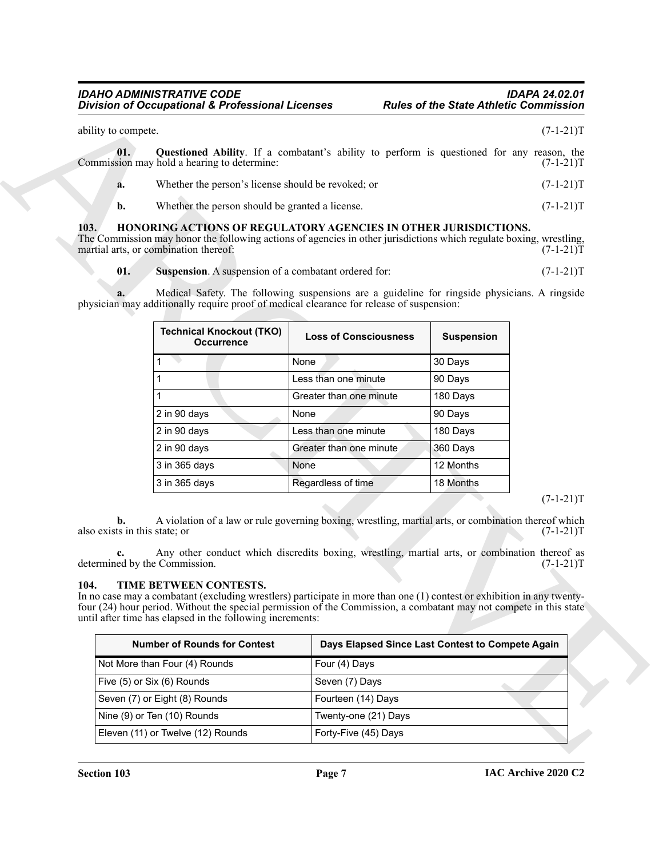<span id="page-6-2"></span>

|     | ability to compete. |                                                                                                                                                 | $(7-1-21)T$ |
|-----|---------------------|-------------------------------------------------------------------------------------------------------------------------------------------------|-------------|
|     | 01.                 | <b>Questioned Ability.</b> If a combatant's ability to perform is questioned for any reason, the<br>Commission may hold a hearing to determine: | $(7-1-21)T$ |
|     | a.                  | Whether the person's license should be revoked; or                                                                                              | $(7-1-21)T$ |
|     | b.                  | Whether the person should be granted a license.                                                                                                 | $(7-1-21)T$ |
| 102 |                     |                                                                                                                                                 |             |

#### <span id="page-6-4"></span><span id="page-6-3"></span><span id="page-6-0"></span>**103. HONORING ACTIONS OF REGULATORY AGENCIES IN OTHER JURISDICTIONS.**

|                                                                                                                                                                                                                                                        | <b>Division of Occupational &amp; Professional Licenses</b>                                                                                                                                                                                                                                                                                                                                                                                                                                                                                                                   |                              | <b>Rules of the State Athletic Commission</b>    |                            |  |  |
|--------------------------------------------------------------------------------------------------------------------------------------------------------------------------------------------------------------------------------------------------------|-------------------------------------------------------------------------------------------------------------------------------------------------------------------------------------------------------------------------------------------------------------------------------------------------------------------------------------------------------------------------------------------------------------------------------------------------------------------------------------------------------------------------------------------------------------------------------|------------------------------|--------------------------------------------------|----------------------------|--|--|
| ability to compete.<br>$(7-1-21)T$                                                                                                                                                                                                                     |                                                                                                                                                                                                                                                                                                                                                                                                                                                                                                                                                                               |                              |                                                  |                            |  |  |
| 01.                                                                                                                                                                                                                                                    | <b>Questioned Ability.</b> If a combatant's ability to perform is questioned for any reason, the<br>Commission may hold a hearing to determine:                                                                                                                                                                                                                                                                                                                                                                                                                               |                              |                                                  | $(7-1-21)T$                |  |  |
| a.                                                                                                                                                                                                                                                     | Whether the person's license should be revoked; or                                                                                                                                                                                                                                                                                                                                                                                                                                                                                                                            |                              |                                                  | $(7-1-21)T$                |  |  |
| b.                                                                                                                                                                                                                                                     | Whether the person should be granted a license.                                                                                                                                                                                                                                                                                                                                                                                                                                                                                                                               |                              |                                                  | $(7-1-21)T$                |  |  |
| HONORING ACTIONS OF REGULATORY AGENCIES IN OTHER JURISDICTIONS.<br>103.<br>The Commission may honor the following actions of agencies in other jurisdictions which regulate boxing, wrestling,<br>martial arts, or combination thereof:<br>$(7-1-21)T$ |                                                                                                                                                                                                                                                                                                                                                                                                                                                                                                                                                                               |                              |                                                  |                            |  |  |
| 01.                                                                                                                                                                                                                                                    | Suspension. A suspension of a combatant ordered for:                                                                                                                                                                                                                                                                                                                                                                                                                                                                                                                          |                              |                                                  | $(7-1-21)T$                |  |  |
|                                                                                                                                                                                                                                                        | Medical Safety. The following suspensions are a guideline for ringside physicians. A ringside<br>physician may additionally require proof of medical clearance for release of suspension:<br><b>Technical Knockout (TKO)</b>                                                                                                                                                                                                                                                                                                                                                  | <b>Loss of Consciousness</b> | <b>Suspension</b>                                |                            |  |  |
|                                                                                                                                                                                                                                                        | <b>Occurrence</b>                                                                                                                                                                                                                                                                                                                                                                                                                                                                                                                                                             |                              |                                                  |                            |  |  |
|                                                                                                                                                                                                                                                        |                                                                                                                                                                                                                                                                                                                                                                                                                                                                                                                                                                               | None                         | 30 Days                                          |                            |  |  |
|                                                                                                                                                                                                                                                        |                                                                                                                                                                                                                                                                                                                                                                                                                                                                                                                                                                               | Less than one minute         | 90 Days                                          |                            |  |  |
|                                                                                                                                                                                                                                                        |                                                                                                                                                                                                                                                                                                                                                                                                                                                                                                                                                                               | Greater than one minute      | 180 Days                                         |                            |  |  |
|                                                                                                                                                                                                                                                        | 2 in 90 days                                                                                                                                                                                                                                                                                                                                                                                                                                                                                                                                                                  | None                         | 90 Days                                          |                            |  |  |
|                                                                                                                                                                                                                                                        | 2 in 90 days                                                                                                                                                                                                                                                                                                                                                                                                                                                                                                                                                                  | Less than one minute         | 180 Days                                         |                            |  |  |
|                                                                                                                                                                                                                                                        | 2 in 90 days                                                                                                                                                                                                                                                                                                                                                                                                                                                                                                                                                                  | Greater than one minute      | 360 Days                                         |                            |  |  |
|                                                                                                                                                                                                                                                        | 3 in 365 days                                                                                                                                                                                                                                                                                                                                                                                                                                                                                                                                                                 | None                         | 12 Months                                        |                            |  |  |
|                                                                                                                                                                                                                                                        | 3 in 365 days                                                                                                                                                                                                                                                                                                                                                                                                                                                                                                                                                                 | Regardless of time           | 18 Months                                        | $(7-1-21)T$                |  |  |
| b.<br>also exists in this state; or<br>104.                                                                                                                                                                                                            | A violation of a law or rule governing boxing, wrestling, martial arts, or combination thereof which<br>Any other conduct which discredits boxing, wrestling, martial arts, or combination thereof as<br>determined by the Commission.<br>TIME BETWEEN CONTESTS.<br>In no case may a combatant (excluding wrestlers) participate in more than one (1) contest or exhibition in any twenty-<br>four (24) hour period. Without the special permission of the Commission, a combatant may not compete in this state<br>until after time has elapsed in the following increments: |                              |                                                  | $(7-1-21)T$<br>$(7-1-21)T$ |  |  |
|                                                                                                                                                                                                                                                        | <b>Number of Rounds for Contest</b>                                                                                                                                                                                                                                                                                                                                                                                                                                                                                                                                           |                              | Days Elapsed Since Last Contest to Compete Again |                            |  |  |
|                                                                                                                                                                                                                                                        | Not More than Four (4) Rounds                                                                                                                                                                                                                                                                                                                                                                                                                                                                                                                                                 | Four (4) Days                |                                                  |                            |  |  |
|                                                                                                                                                                                                                                                        | Five (5) or Six (6) Rounds                                                                                                                                                                                                                                                                                                                                                                                                                                                                                                                                                    | Seven (7) Days               |                                                  |                            |  |  |
|                                                                                                                                                                                                                                                        | Seven (7) or Eight (8) Rounds                                                                                                                                                                                                                                                                                                                                                                                                                                                                                                                                                 | Fourteen (14) Days           |                                                  |                            |  |  |
|                                                                                                                                                                                                                                                        |                                                                                                                                                                                                                                                                                                                                                                                                                                                                                                                                                                               |                              |                                                  |                            |  |  |
|                                                                                                                                                                                                                                                        | Nine (9) or Ten (10) Rounds                                                                                                                                                                                                                                                                                                                                                                                                                                                                                                                                                   | Twenty-one (21) Days         |                                                  |                            |  |  |

#### $(7-1-21)T$

#### <span id="page-6-5"></span><span id="page-6-1"></span>**104. TIME BETWEEN CONTESTS.**

| <b>Number of Rounds for Contest</b> | Days Elapsed Since Last Contest to Compete Again |
|-------------------------------------|--------------------------------------------------|
| Not More than Four (4) Rounds       | Four (4) Days                                    |
| Five (5) or Six (6) Rounds          | Seven (7) Days                                   |
| Seven (7) or Eight (8) Rounds       | Fourteen (14) Days                               |
| Nine (9) or Ten (10) Rounds         | Twenty-one (21) Days                             |
| Eleven (11) or Twelve (12) Rounds   | Forty-Five (45) Days                             |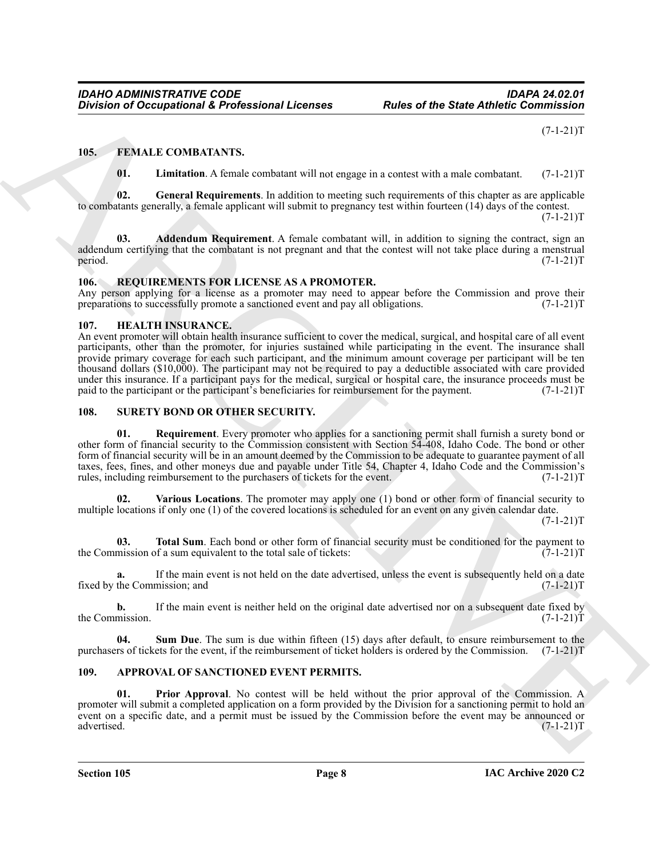$(7-1-21)T$ 

### <span id="page-7-0"></span>**105. FEMALE COMBATANTS.**

<span id="page-7-10"></span><span id="page-7-9"></span><span id="page-7-8"></span><span id="page-7-7"></span>**01.** Limitation. A female combatant will not engage in a contest with a male combatant. (7-1-21)T

**02. General Requirements**. In addition to meeting such requirements of this chapter as are applicable to combatants generally, a female applicant will submit to pregnancy test within fourteen (14) days of the contest.

 $(7-1-21)T$ 

**03. Addendum Requirement**. A female combatant will, in addition to signing the contract, sign an addendum certifying that the combatant is not pregnant and that the contest will not take place during a menstrual period.  $(7-1-21)T$ period. (7-1-21)T

#### <span id="page-7-12"></span><span id="page-7-1"></span>**106. REQUIREMENTS FOR LICENSE AS A PROMOTER.**

Any person applying for a license as a promoter may need to appear before the Commission and prove their preparations to successfully promote a sanctioned event and pay all obligations. (7-1-21) preparations to successfully promote a sanctioned event and pay all obligations.

#### <span id="page-7-11"></span><span id="page-7-2"></span>**107. HEALTH INSURANCE.**

Division of Comparisonal & Professional Licenses<br>
Fig. 54 MM F. COMBATANTS,<br>
1978. F. F. MAI F. COMBATANTS,<br>
1978. F. E. Comparisonal A. General Requirements. In addition to sumpre in a comparison with a male combon one o An event promoter will obtain health insurance sufficient to cover the medical, surgical, and hospital care of all event participants, other than the promoter, for injuries sustained while participating in the event. The insurance shall provide primary coverage for each such participant, and the minimum amount coverage per participant will be ten thousand dollars (\$10,000). The participant may not be required to pay a deductible associated with care provided under this insurance. If a participant pays for the medical, surgical or hospital care, the insurance proceeds must be paid to the participant or the participant's beneficiaries for reimbursement for the payment. (7-1-21)T

#### <span id="page-7-14"></span><span id="page-7-13"></span><span id="page-7-3"></span>**108. SURETY BOND OR OTHER SECURITY.**

**01. Requirement**. Every promoter who applies for a sanctioning permit shall furnish a surety bond or other form of financial security to the Commission consistent with Section 54-408, Idaho Code. The bond or other form of financial security will be in an amount deemed by the Commission to be adequate to guarantee payment of all taxes, fees, fines, and other moneys due and payable under Title 54, Chapter 4, Idaho Code and the Commission's rules, including reimbursement to the purchasers of tickets for the event. (7-1-21)T

<span id="page-7-17"></span>**02. Various Locations**. The promoter may apply one (1) bond or other form of financial security to multiple locations if only one (1) of the covered locations is scheduled for an event on any given calendar date.

 $(7-1-21)T$ 

<span id="page-7-16"></span>**03. Total Sum**. Each bond or other form of financial security must be conditioned for the payment to mission of a sum equivalent to the total sale of tickets:  $(7-1-21)$ the Commission of a sum equivalent to the total sale of tickets:

**a.** If the main event is not held on the date advertised, unless the event is subsequently held on a date fixed by the Commission; and (7-1-21)T

**b.** If the main event is neither held on the original date advertised nor on a subsequent date fixed by mission.  $(7-1-21)T$ the Commission.

<span id="page-7-15"></span>**04. Sum Due**. The sum is due within fifteen (15) days after default, to ensure reimbursement to the purchasers of tickets for the event, if the reimbursement of ticket holders is ordered by the Commission. (7-1-21)T

### <span id="page-7-5"></span><span id="page-7-4"></span>**109. APPROVAL OF SANCTIONED EVENT PERMITS.**

<span id="page-7-6"></span>**01. Prior Approval**. No contest will be held without the prior approval of the Commission. A promoter will submit a completed application on a form provided by the Division for a sanctioning permit to hold an event on a specific date, and a permit must be issued by the Commission before the event may be announced or advertised. (7-1-21)T advertised. (7-1-21)T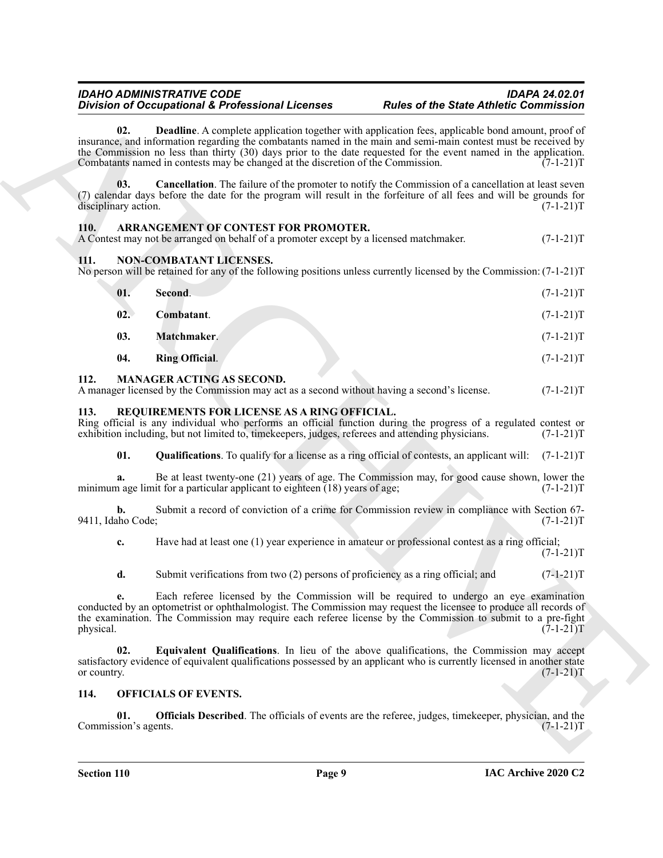### <span id="page-8-7"></span><span id="page-8-6"></span><span id="page-8-5"></span><span id="page-8-0"></span>**110. ARRANGEMENT OF CONTEST FOR PROMOTER.**

### <span id="page-8-13"></span><span id="page-8-10"></span><span id="page-8-9"></span><span id="page-8-1"></span>**111. NON-COMBATANT LICENSES.**

| 02.<br><b>Deadline</b> . A complete application together with application fees, applicable bond amount, proof of<br>insurance, and information regarding the combatants named in the main and semi-main contest must be received by<br>the Commission no less than thirty (30) days prior to the date requested for the event named in the application.<br>Combatants named in contests may be changed at the discretion of the Commission.<br>03.<br><b>Cancellation</b> . The failure of the promoter to notify the Commission of a cancellation at least seven<br>(7) calendar days before the date for the program will result in the forfeiture of all fees and will be grounds for<br>disciplinary action.<br>ARRANGEMENT OF CONTEST FOR PROMOTER.<br>110.<br>A Contest may not be arranged on behalf of a promoter except by a licensed matchmaker.<br>NON-COMBATANT LICENSES.<br>111.<br>No person will be retained for any of the following positions unless currently licensed by the Commission: $(7-1-21)$ T<br>Second.<br>01.<br>02.<br>Combatant.<br>03.<br>Matchmaker.<br>04.<br><b>Ring Official.</b><br>112.<br><b>MANAGER ACTING AS SECOND.</b><br>A manager licensed by the Commission may act as a second without having a second's license.<br>REQUIREMENTS FOR LICENSE AS A RING OFFICIAL.<br>113.<br>Ring official is any individual who performs an official function during the progress of a regulated contest or<br>exhibition including, but not limited to, time keepers, judges, referees and attending physicians.<br>01.<br><b>Qualifications.</b> To qualify for a license as a ring official of contests, an applicant will: |             |
|----------------------------------------------------------------------------------------------------------------------------------------------------------------------------------------------------------------------------------------------------------------------------------------------------------------------------------------------------------------------------------------------------------------------------------------------------------------------------------------------------------------------------------------------------------------------------------------------------------------------------------------------------------------------------------------------------------------------------------------------------------------------------------------------------------------------------------------------------------------------------------------------------------------------------------------------------------------------------------------------------------------------------------------------------------------------------------------------------------------------------------------------------------------------------------------------------------------------------------------------------------------------------------------------------------------------------------------------------------------------------------------------------------------------------------------------------------------------------------------------------------------------------------------------------------------------------------------------------------------------------------------------------------------|-------------|
|                                                                                                                                                                                                                                                                                                                                                                                                                                                                                                                                                                                                                                                                                                                                                                                                                                                                                                                                                                                                                                                                                                                                                                                                                                                                                                                                                                                                                                                                                                                                                                                                                                                                | $(7-1-21)T$ |
|                                                                                                                                                                                                                                                                                                                                                                                                                                                                                                                                                                                                                                                                                                                                                                                                                                                                                                                                                                                                                                                                                                                                                                                                                                                                                                                                                                                                                                                                                                                                                                                                                                                                | $(7-1-21)T$ |
|                                                                                                                                                                                                                                                                                                                                                                                                                                                                                                                                                                                                                                                                                                                                                                                                                                                                                                                                                                                                                                                                                                                                                                                                                                                                                                                                                                                                                                                                                                                                                                                                                                                                | $(7-1-21)T$ |
|                                                                                                                                                                                                                                                                                                                                                                                                                                                                                                                                                                                                                                                                                                                                                                                                                                                                                                                                                                                                                                                                                                                                                                                                                                                                                                                                                                                                                                                                                                                                                                                                                                                                |             |
|                                                                                                                                                                                                                                                                                                                                                                                                                                                                                                                                                                                                                                                                                                                                                                                                                                                                                                                                                                                                                                                                                                                                                                                                                                                                                                                                                                                                                                                                                                                                                                                                                                                                | $(7-1-21)T$ |
|                                                                                                                                                                                                                                                                                                                                                                                                                                                                                                                                                                                                                                                                                                                                                                                                                                                                                                                                                                                                                                                                                                                                                                                                                                                                                                                                                                                                                                                                                                                                                                                                                                                                | $(7-1-21)T$ |
|                                                                                                                                                                                                                                                                                                                                                                                                                                                                                                                                                                                                                                                                                                                                                                                                                                                                                                                                                                                                                                                                                                                                                                                                                                                                                                                                                                                                                                                                                                                                                                                                                                                                | $(7-1-21)T$ |
|                                                                                                                                                                                                                                                                                                                                                                                                                                                                                                                                                                                                                                                                                                                                                                                                                                                                                                                                                                                                                                                                                                                                                                                                                                                                                                                                                                                                                                                                                                                                                                                                                                                                | $(7-1-21)T$ |
|                                                                                                                                                                                                                                                                                                                                                                                                                                                                                                                                                                                                                                                                                                                                                                                                                                                                                                                                                                                                                                                                                                                                                                                                                                                                                                                                                                                                                                                                                                                                                                                                                                                                | $(7-1-21)T$ |
|                                                                                                                                                                                                                                                                                                                                                                                                                                                                                                                                                                                                                                                                                                                                                                                                                                                                                                                                                                                                                                                                                                                                                                                                                                                                                                                                                                                                                                                                                                                                                                                                                                                                | $(7-1-21)T$ |
|                                                                                                                                                                                                                                                                                                                                                                                                                                                                                                                                                                                                                                                                                                                                                                                                                                                                                                                                                                                                                                                                                                                                                                                                                                                                                                                                                                                                                                                                                                                                                                                                                                                                | $(7-1-21)T$ |
| Be at least twenty-one (21) years of age. The Commission may, for good cause shown, lower the<br>a.<br>minimum age limit for a particular applicant to eighteen $(18)$ years of age;                                                                                                                                                                                                                                                                                                                                                                                                                                                                                                                                                                                                                                                                                                                                                                                                                                                                                                                                                                                                                                                                                                                                                                                                                                                                                                                                                                                                                                                                           | $(7-1-21)T$ |
| Submit a record of conviction of a crime for Commission review in compliance with Section 67-<br>b.<br>9411, Idaho Code;                                                                                                                                                                                                                                                                                                                                                                                                                                                                                                                                                                                                                                                                                                                                                                                                                                                                                                                                                                                                                                                                                                                                                                                                                                                                                                                                                                                                                                                                                                                                       | $(7-1-21)T$ |
| Have had at least one (1) year experience in amateur or professional contest as a ring official;<br>c.                                                                                                                                                                                                                                                                                                                                                                                                                                                                                                                                                                                                                                                                                                                                                                                                                                                                                                                                                                                                                                                                                                                                                                                                                                                                                                                                                                                                                                                                                                                                                         | $(7-1-21)T$ |
| Submit verifications from two (2) persons of proficiency as a ring official; and<br>d.                                                                                                                                                                                                                                                                                                                                                                                                                                                                                                                                                                                                                                                                                                                                                                                                                                                                                                                                                                                                                                                                                                                                                                                                                                                                                                                                                                                                                                                                                                                                                                         | $(7-1-21)T$ |
| Each referee licensed by the Commission will be required to undergo an eye examination<br>e.<br>conducted by an optometrist or ophthalmologist. The Commission may request the licensee to produce all records of<br>the examination. The Commission may require each referee license by the Commission to submit to a pre-fight<br>physical.                                                                                                                                                                                                                                                                                                                                                                                                                                                                                                                                                                                                                                                                                                                                                                                                                                                                                                                                                                                                                                                                                                                                                                                                                                                                                                                  | $(7-1-21)T$ |
| Equivalent Qualifications. In lieu of the above qualifications, the Commission may accept<br>02.<br>satisfactory evidence of equivalent qualifications possessed by an applicant who is currently licensed in another state<br>or country.                                                                                                                                                                                                                                                                                                                                                                                                                                                                                                                                                                                                                                                                                                                                                                                                                                                                                                                                                                                                                                                                                                                                                                                                                                                                                                                                                                                                                     | $(7-1-21)T$ |
| 114.<br><b>OFFICIALS OF EVENTS.</b>                                                                                                                                                                                                                                                                                                                                                                                                                                                                                                                                                                                                                                                                                                                                                                                                                                                                                                                                                                                                                                                                                                                                                                                                                                                                                                                                                                                                                                                                                                                                                                                                                            |             |
| 01.<br><b>Officials Described</b> . The officials of events are the referee, judges, timekeeper, physician, and the<br>Commission's agents.                                                                                                                                                                                                                                                                                                                                                                                                                                                                                                                                                                                                                                                                                                                                                                                                                                                                                                                                                                                                                                                                                                                                                                                                                                                                                                                                                                                                                                                                                                                    |             |
|                                                                                                                                                                                                                                                                                                                                                                                                                                                                                                                                                                                                                                                                                                                                                                                                                                                                                                                                                                                                                                                                                                                                                                                                                                                                                                                                                                                                                                                                                                                                                                                                                                                                | $(7-1-21)T$ |

#### <span id="page-8-12"></span><span id="page-8-11"></span><span id="page-8-8"></span><span id="page-8-2"></span>**112. MANAGER ACTING AS SECOND.**

#### <span id="page-8-18"></span><span id="page-8-16"></span><span id="page-8-3"></span>**113. REQUIREMENTS FOR LICENSE AS A RING OFFICIAL.**

#### <span id="page-8-17"></span><span id="page-8-15"></span><span id="page-8-14"></span><span id="page-8-4"></span>**114. OFFICIALS OF EVENTS.**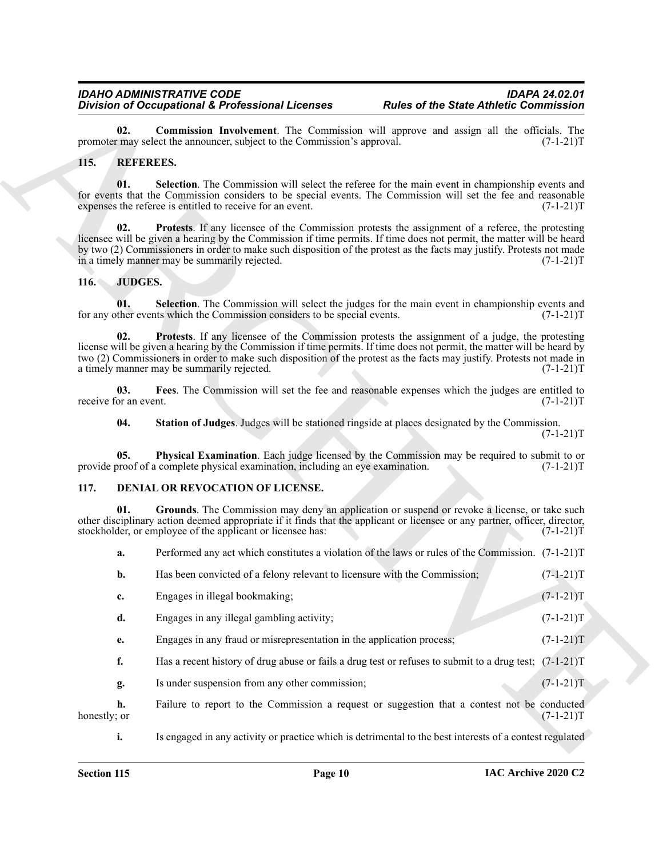#### <span id="page-9-13"></span><span id="page-9-12"></span><span id="page-9-11"></span><span id="page-9-10"></span><span id="page-9-0"></span>**115. REFEREES.**

#### <span id="page-9-8"></span><span id="page-9-7"></span><span id="page-9-5"></span><span id="page-9-4"></span><span id="page-9-1"></span>**116. JUDGES.**

#### <span id="page-9-9"></span><span id="page-9-6"></span><span id="page-9-3"></span><span id="page-9-2"></span>**117. DENIAL OR REVOCATION OF LICENSE.**

|                       | <b>Division of Occupational &amp; Professional Licenses</b>                                                                                                                                                                                                                                            | <b>Rules of the State Athletic Commission</b>                                                                        |
|-----------------------|--------------------------------------------------------------------------------------------------------------------------------------------------------------------------------------------------------------------------------------------------------------------------------------------------------|----------------------------------------------------------------------------------------------------------------------|
|                       | 02.<br>promoter may select the announcer, subject to the Commission's approval.                                                                                                                                                                                                                        | <b>Commission Involvement</b> . The Commission will approve and assign all the officials. The<br>$(7-1-21)T$         |
| 115.                  | <b>REFEREES.</b>                                                                                                                                                                                                                                                                                       |                                                                                                                      |
|                       | 01.<br>for events that the Commission considers to be special events. The Commission will set the fee and reasonable<br>expenses the referee is entitled to receive for an event.                                                                                                                      | Selection. The Commission will select the referee for the main event in championship events and<br>$(7-1-21)T$       |
|                       | 02.<br>licensee will be given a hearing by the Commission if time permits. If time does not permit, the matter will be heard<br>by two (2) Commissioners in order to make such disposition of the protest as the facts may justify. Protests not made<br>in a timely manner may be summarily rejected. | Protests. If any licensee of the Commission protests the assignment of a referee, the protesting<br>$(7-1-21)T$      |
| 116.                  | <b>JUDGES.</b>                                                                                                                                                                                                                                                                                         |                                                                                                                      |
|                       | 01.<br>for any other events which the Commission considers to be special events.                                                                                                                                                                                                                       | Selection. The Commission will select the judges for the main event in championship events and<br>$(7-1-21)T$        |
|                       | 02.<br>license will be given a hearing by the Commission if time permits. If time does not permit, the matter will be heard by<br>two (2) Commissioners in order to make such disposition of the protest as the facts may justify. Protests not made in<br>a timely manner may be summarily rejected.  | <b>Protests.</b> If any licensee of the Commission protests the assignment of a judge, the protesting<br>$(7-1-21)T$ |
| receive for an event. | 03.                                                                                                                                                                                                                                                                                                    | Fees. The Commission will set the fee and reasonable expenses which the judges are entitled to<br>$(7-1-21)T$        |
|                       | Station of Judges. Judges will be stationed ringside at places designated by the Commission.<br>04.                                                                                                                                                                                                    | $(7-1-21)T$                                                                                                          |
|                       | 05.<br>provide proof of a complete physical examination, including an eye examination.                                                                                                                                                                                                                 | Physical Examination. Each judge licensed by the Commission may be required to submit to or<br>$(7-1-21)T$           |
| 117.                  | DENIAL OR REVOCATION OF LICENSE.                                                                                                                                                                                                                                                                       |                                                                                                                      |
|                       | 01.<br>other disciplinary action deemed appropriate if it finds that the applicant or licensee or any partner, officer, director,<br>stockholder, or employee of the applicant or licensee has:                                                                                                        | Grounds. The Commission may deny an application or suspend or revoke a license, or take such<br>$(7-1-21)T$          |
| a.                    |                                                                                                                                                                                                                                                                                                        | Performed any act which constitutes a violation of the laws or rules of the Commission. (7-1-21)T                    |
| b.                    | Has been convicted of a felony relevant to licensure with the Commission;                                                                                                                                                                                                                              | $(7-1-21)T$                                                                                                          |
| c.                    | Engages in illegal bookmaking;                                                                                                                                                                                                                                                                         | $(7-1-21)T$                                                                                                          |
| d.                    | Engages in any illegal gambling activity;                                                                                                                                                                                                                                                              | $(7-1-21)T$                                                                                                          |
| e.                    | Engages in any fraud or misrepresentation in the application process;                                                                                                                                                                                                                                  | $(7-1-21)T$                                                                                                          |
| f.                    |                                                                                                                                                                                                                                                                                                        | Has a recent history of drug abuse or fails a drug test or refuses to submit to a drug test; $(7-1-21)$ T            |
| g.                    | Is under suspension from any other commission;                                                                                                                                                                                                                                                         | $(7-1-21)T$                                                                                                          |
| h.<br>honestly; or    |                                                                                                                                                                                                                                                                                                        | Failure to report to the Commission a request or suggestion that a contest not be conducted<br>$(7-1-21)T$           |
| i.                    |                                                                                                                                                                                                                                                                                                        | Is engaged in any activity or practice which is detrimental to the best interests of a contest regulated             |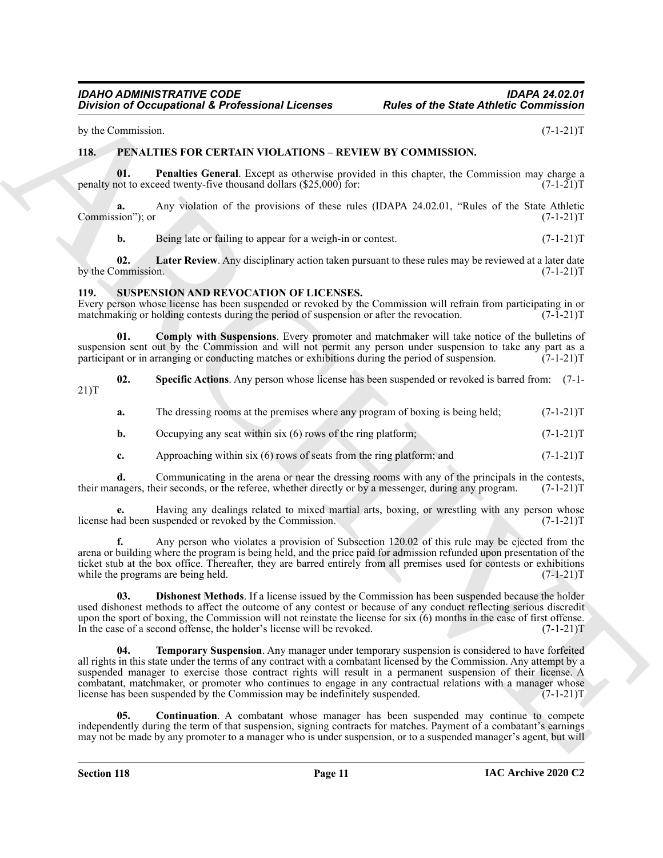by the Commission. (7-1-21) T

# <span id="page-10-2"></span><span id="page-10-0"></span>**118. PENALTIES FOR CERTAIN VIOLATIONS – REVIEW BY COMMISSION.**

<span id="page-10-4"></span>**01.** Penalties General. Except as otherwise provided in this chapter, the Commission may charge a not to exceed twenty-five thousand dollars (\$25,000) for:  $(7-1-21)$ penalty not to exceed twenty-five thousand dollars  $(\$25,000)$  for:

**a.** Any violation of the provisions of these rules (IDAPA 24.02.01, "Rules of the State Athletic sion"); or  $(7-1-21)$ Commission"); or

<span id="page-10-3"></span>**b.** Being late or failing to appear for a weigh-in or contest.  $(7-1-21)$ T

**02.** Later Review. Any disciplinary action taken pursuant to these rules may be reviewed at a later date ommission. (7-1-21) by the Commission.

#### <span id="page-10-5"></span><span id="page-10-1"></span>**119. SUSPENSION AND REVOCATION OF LICENSES.**

Every person whose license has been suspended or revoked by the Commission will refrain from participating in or matchmaking or holding contests during the period of suspension or after the revocation. (7-1-21)T matchmaking or holding contests during the period of suspension or after the revocation.

<span id="page-10-6"></span>**01. Comply with Suspensions**. Every promoter and matchmaker will take notice of the bulletins of suspension sent out by the Commission and will not permit any person under suspension to take any part as a participant or in arranging or conducting matches or exhibitions during the period of suspension.  $(7-1-21)$ T participant or in arranging or conducting matches or exhibitions during the period of suspension.

**02. Specific Actions**. Any person whose license has been suspended or revoked is barred from: (7-1- 21)T

- <span id="page-10-9"></span>**a.** The dressing rooms at the premises where any program of boxing is being held;  $(7-1-21)$ T
- **b.** Occupying any seat within six (6) rows of the ring platform;  $(7-1-21)$ T
- **c.** Approaching within six (6) rows of seats from the ring platform; and  $(7-1-21)$ T

**d.** Communicating in the arena or near the dressing rooms with any of the principals in the contests, their managers, their seconds, or the referee, whether directly or by a messenger, during any program. (7-1-21)T

**e.** Having any dealings related to mixed martial arts, boxing, or wrestling with any person whose ad been suspended or revoked by the Commission. (7-1-21) license had been suspended or revoked by the Commission.

**f.** Any person who violates a provision of Subsection 120.02 of this rule may be ejected from the arena or building where the program is being held, and the price paid for admission refunded upon presentation of the ticket stub at the box office. Thereafter, they are barred entirely from all premises used for contests or exhibitions while the programs are being held.  $(7-1-21)$ while the programs are being held.

<span id="page-10-10"></span><span id="page-10-8"></span>**03. Dishonest Methods**. If a license issued by the Commission has been suspended because the holder used dishonest methods to affect the outcome of any contest or because of any conduct reflecting serious discredit upon the sport of boxing, the Commission will not reinstate the license for six (6) months in the case of first offense. In the case of a second offense, the holder's license will be revoked. (7-1-21)T

**Division of Occupational & Professional Licenses**<br> **Plus of the State Antifaction**<br>
THE FRAME TRISS FOR CERTAIN VIOLATIONS - REVIEW IN CONVINISION:<br>
THE FRAME TRISS FOR CERTAIN VIOLATIONS - REVIEW IN CONVINISION:<br>
THE FR **04. Temporary Suspension**. Any manager under temporary suspension is considered to have forfeited all rights in this state under the terms of any contract with a combatant licensed by the Commission. Any attempt by a suspended manager to exercise those contract rights will result in a permanent suspension of their license. A combatant, matchmaker, or promoter who continues to engage in any contractual relations with a manager whose license has been suspended by the Commission may be indefinitely suspended. (7-1-21)T

<span id="page-10-7"></span>**05. Continuation**. A combatant whose manager has been suspended may continue to compete independently during the term of that suspension, signing contracts for matches. Payment of a combatant's earnings may not be made by any promoter to a manager who is under suspension, or to a suspended manager's agent, but will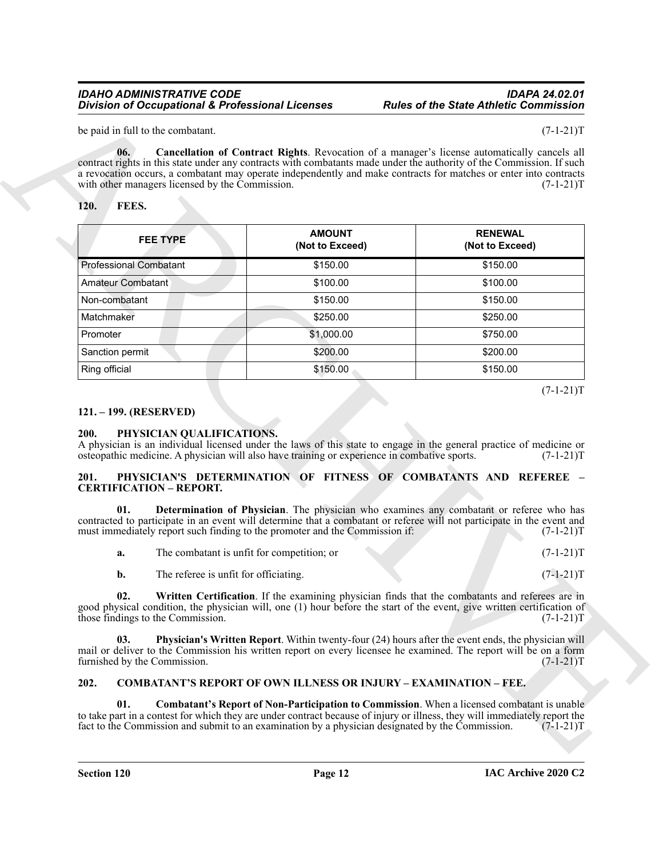#### <span id="page-11-13"></span><span id="page-11-7"></span><span id="page-11-0"></span>**120. FEES.**

| 06.<br>with other managers licensed by the Commission.<br>FEES.<br>120. |                                                                                              | Cancellation of Contract Rights. Revocation of a manager's license automatically cancels all<br>contract rights in this state under any contracts with combatants made under the authority of the Commission. If such<br>a revocation occurs, a combatant may operate independently and make contracts for matches or enter into contracts<br>$(7-1-21)T$ |
|-------------------------------------------------------------------------|----------------------------------------------------------------------------------------------|-----------------------------------------------------------------------------------------------------------------------------------------------------------------------------------------------------------------------------------------------------------------------------------------------------------------------------------------------------------|
| <b>FEE TYPE</b>                                                         | <b>AMOUNT</b><br>(Not to Exceed)                                                             | <b>RENEWAL</b><br>(Not to Exceed)                                                                                                                                                                                                                                                                                                                         |
| <b>Professional Combatant</b>                                           | \$150.00                                                                                     | \$150.00                                                                                                                                                                                                                                                                                                                                                  |
| <b>Amateur Combatant</b>                                                | \$100.00                                                                                     | \$100.00                                                                                                                                                                                                                                                                                                                                                  |
| Non-combatant                                                           | \$150.00                                                                                     | \$150.00                                                                                                                                                                                                                                                                                                                                                  |
| Matchmaker                                                              | \$250.00                                                                                     | \$250.00                                                                                                                                                                                                                                                                                                                                                  |
| Promoter                                                                | \$1,000.00                                                                                   | \$750.00                                                                                                                                                                                                                                                                                                                                                  |
| Sanction permit                                                         | \$200.00                                                                                     | \$200.00                                                                                                                                                                                                                                                                                                                                                  |
| Ring official                                                           | \$150.00                                                                                     | \$150.00                                                                                                                                                                                                                                                                                                                                                  |
| 121. – 199. (RESERVED)<br>PHYSICIAN QUALIFICATIONS.<br>200.             | osteopathic medicine. A physician will also have training or experience in combative sports. | $(7-1-21)T$<br>A physician is an individual licensed under the laws of this state to engage in the general practice of medicine or<br>$(7-1-21)T$                                                                                                                                                                                                         |
| 201.<br><b>CERTIFICATION - REPORT.</b><br>01.                           | must immediately report such finding to the promoter and the Commission if:                  | PHYSICIAN'S DETERMINATION OF FITNESS OF COMBATANTS AND REFEREE -<br>Determination of Physician. The physician who examines any combatant or referee who has<br>contracted to participate in an event will determine that a combatant or referee will not participate in the event and<br>$(7-1-21)T$                                                      |
| a.                                                                      | The combatant is unfit for competition; or                                                   | $(7-1-21)T$                                                                                                                                                                                                                                                                                                                                               |
| The referee is unfit for officiating.<br>b.                             |                                                                                              | $(7-1-21)T$                                                                                                                                                                                                                                                                                                                                               |
| 02.<br>those findings to the Commission.                                |                                                                                              | Written Certification. If the examining physician finds that the combatants and referees are in<br>good physical condition, the physician will, one (1) hour before the start of the event, give written certification of<br>$(7-1-21)T$                                                                                                                  |
| 03.<br>furnished by the Commission.                                     |                                                                                              | Physician's Written Report. Within twenty-four (24) hours after the event ends, the physician will<br>mail or deliver to the Commission his written report on every licensee he examined. The report will be on a form<br>$(7-1-21)T$                                                                                                                     |
| 202.                                                                    | <b>COMBATANT'S REPORT OF OWN ILLNESS OR INJURY - EXAMINATION - FEE.</b>                      |                                                                                                                                                                                                                                                                                                                                                           |

#### <span id="page-11-1"></span>**121. – 199. (RESERVED)**

#### <span id="page-11-8"></span><span id="page-11-2"></span>**200. PHYSICIAN QUALIFICATIONS.**

#### <span id="page-11-9"></span><span id="page-11-3"></span>**201. PHYSICIAN'S DETERMINATION OF FITNESS OF COMBATANTS AND REFEREE – CERTIFICATION – REPORT.**

<span id="page-11-12"></span><span id="page-11-11"></span><span id="page-11-10"></span>

| а. | The combatant is unfit for competition: or |  | $(7-1-21)T$ |
|----|--------------------------------------------|--|-------------|
|    |                                            |  |             |

#### <span id="page-11-6"></span><span id="page-11-5"></span><span id="page-11-4"></span>**202. COMBATANT'S REPORT OF OWN ILLNESS OR INJURY – EXAMINATION – FEE.**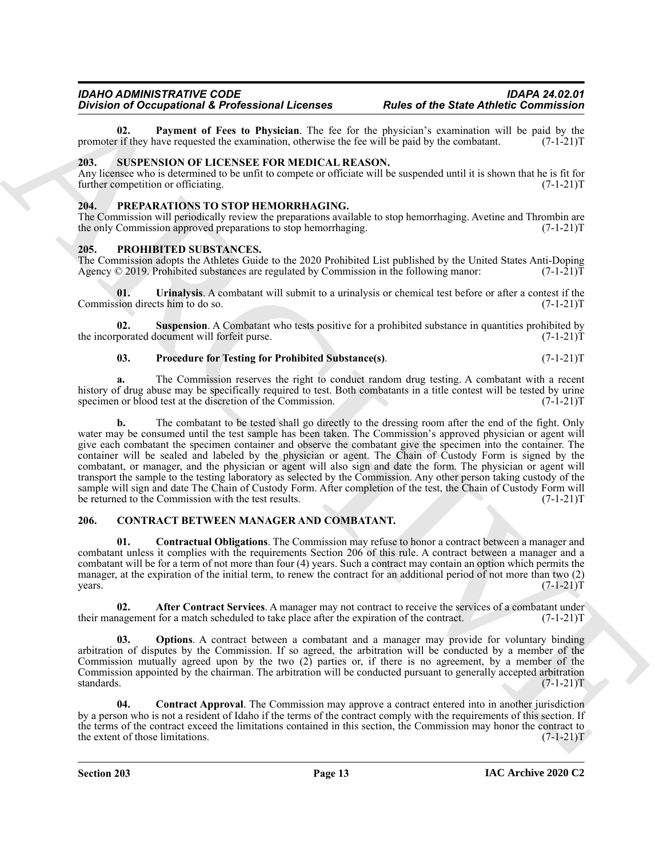<span id="page-12-4"></span>**02. Payment of Fees to Physician**. The fee for the physician's examination will be paid by the rif they have requested the examination, otherwise the fee will be paid by the combatant. (7-1-21) promoter if they have requested the examination, otherwise the fee will be paid by the combatant.

#### <span id="page-12-15"></span><span id="page-12-0"></span>**203. SUSPENSION OF LICENSEE FOR MEDICAL REASON.**

Any licensee who is determined to be unfit to compete or officiate will be suspended until it is shown that he is fit for further competition or officiating. (7-1-21)T

#### <span id="page-12-10"></span><span id="page-12-1"></span>**204. PREPARATIONS TO STOP HEMORRHAGING.**

The Commission will periodically review the preparations available to stop hemorrhaging. Avetine and Thrombin are the only Commission approved preparations to stop hemorrhaging. (7-1-21)T

#### <span id="page-12-11"></span><span id="page-12-2"></span>**205. PROHIBITED SUBSTANCES.**

The Commission adopts the Athletes Guide to the 2020 Prohibited List published by the United States Anti-Doping Agency © 2019. Prohibited substances are regulated by Commission in the following manor: (7-1-21)T

<span id="page-12-14"></span>**01.** Urinalysis. A combatant will submit to a urinalysis or chemical test before or after a contest if the sion directs him to do so.  $(7-1-21)T$ Commission directs him to do so.

**Suspension**. A Combatant who tests positive for a prohibited substance in quantities prohibited by locument will forfeit purse.  $(7-1-21)T$ the incorporated document will forfeit purse.

#### <span id="page-12-13"></span><span id="page-12-12"></span>**03. Procedure for Testing for Prohibited Substance(s)**. (7-1-21)T

**a.** The Commission reserves the right to conduct random drug testing. A combatant with a recent history of drug abuse may be specifically required to test. Both combatants in a title contest will be tested by urine specimen or blood test at the discretion of the Commission. (7-1-21) specimen or blood test at the discretion of the Commission.

Division of Occupational & Production Control is the state of the State formulation of the Control interaction of the state of the State formulation of the State of the State State State State State State State State Stat **b.** The combatant to be tested shall go directly to the dressing room after the end of the fight. Only water may be consumed until the test sample has been taken. The Commission's approved physician or agent will give each combatant the specimen container and observe the combatant give the specimen into the container. The container will be sealed and labeled by the physician or agent. The Chain of Custody Form is signed by the combatant, or manager, and the physician or agent will also sign and date the form. The physician or agent will transport the sample to the testing laboratory as selected by the Commission. Any other person taking custody of the sample will sign and date The Chain of Custody Form. After completion of the test, the Chain of Custody Form will<br>be returned to the Commission with the test results. (7-1-21)T be returned to the Commission with the test results.

#### <span id="page-12-5"></span><span id="page-12-3"></span>**206. CONTRACT BETWEEN MANAGER AND COMBATANT.**

<span id="page-12-8"></span>**01. Contractual Obligations**. The Commission may refuse to honor a contract between a manager and combatant unless it complies with the requirements Section 206 of this rule. A contract between a manager and a combatant will be for a term of not more than four (4) years. Such a contract may contain an option which permits the manager, at the expiration of the initial term, to renew the contract for an additional period of not more than two (2)  $years.$  (7-1-21)T

<span id="page-12-6"></span>**02. After Contract Services**. A manager may not contract to receive the services of a combatant under hagement for a match scheduled to take place after the expiration of the contract. (7-1-21) their management for a match scheduled to take place after the expiration of the contract.

<span id="page-12-9"></span>**Options**. A contract between a combatant and a manager may provide for voluntary binding arbitration of disputes by the Commission. If so agreed, the arbitration will be conducted by a member of the Commission mutually agreed upon by the two (2) parties or, if there is no agreement, by a member of the Commission appointed by the chairman. The arbitration will be conducted pursuant to generally accepted arbitration standards. (7-1-21)T

<span id="page-12-7"></span>**04. Contract Approval**. The Commission may approve a contract entered into in another jurisdiction by a person who is not a resident of Idaho if the terms of the contract comply with the requirements of this section. If the terms of the contract exceed the limitations contained in this section, the Commission may honor the contract to the extent of those limitations. (7-1-21)T the extent of those limitations.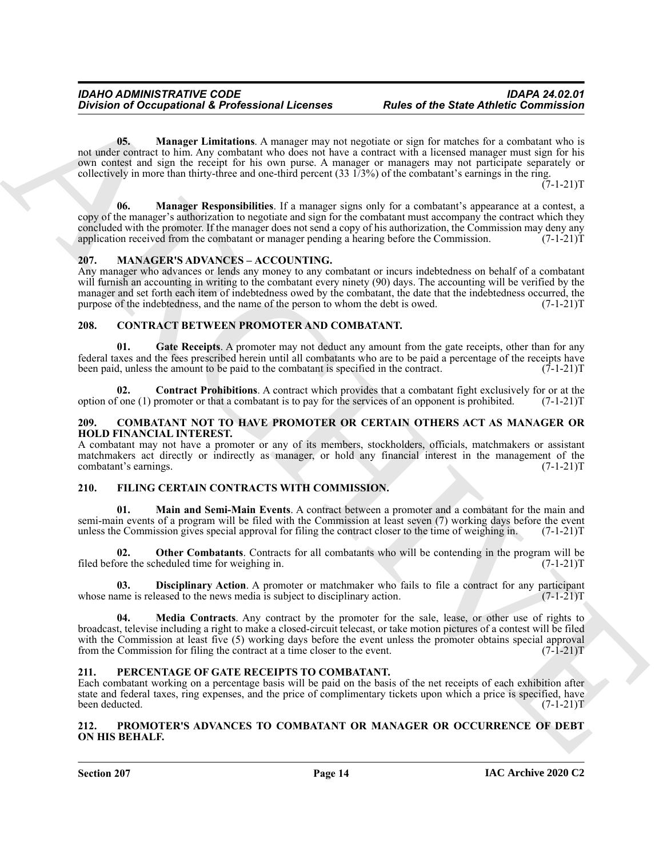<span id="page-13-7"></span>**05.** Manager Limitations. A manager may not negotiate or sign for matches for a combatant who is not under contract to him. Any combatant who does not have a contract with a licensed manager must sign for his own contest and sign the receipt for his own purse. A manager or managers may not participate separately or collectively in more than thirty-three and one-third percent (33 1/3%) of the combatant's earnings in the ring.

 $(7-1-21)T$ 

<span id="page-13-8"></span>**06. Manager Responsibilities**. If a manager signs only for a combatant's appearance at a contest, a copy of the manager's authorization to negotiate and sign for the combatant must accompany the contract which they concluded with the promoter. If the manager does not send a copy of his authorization, the Commission may deny any application received from the combatant or manager pending a hearing before the Commission. (7-1-21)T application received from the combatant or manager pending a hearing before the Commission.

#### <span id="page-13-17"></span><span id="page-13-0"></span>**207. MANAGER'S ADVANCES – ACCOUNTING.**

Any manager who advances or lends any money to any combatant or incurs indebtedness on behalf of a combatant will furnish an accounting in writing to the combatant every ninety (90) days. The accounting will be verified by the manager and set forth each item of indebtedness owed by the combatant, the date that the indebtedness occurred, the purpose of the indebtedness, and the name of the person to whom the debt is owed. (7-1-21) purpose of the indebtedness, and the name of the person to whom the debt is owed.

#### <span id="page-13-9"></span><span id="page-13-1"></span>**208. CONTRACT BETWEEN PROMOTER AND COMBATANT.**

<span id="page-13-11"></span>**01.** Gate Receipts. A promoter may not deduct any amount from the gate receipts, other than for any federal taxes and the fees prescribed herein until all combatants who are to be paid a percentage of the receipts have<br>been paid, unless the amount to be paid to the combatant is specified in the contract. (7-1-21) been paid, unless the amount to be paid to the combatant is specified in the contract.

<span id="page-13-10"></span>**02. Contract Prohibitions**. A contract which provides that a combatant fight exclusively for or at the fone (1) promoter or that a combatant is to pay for the services of an opponent is prohibited. (7-1-21)T option of one  $(1)$  promoter or that a combatant is to pay for the services of an opponent is prohibited.

#### <span id="page-13-6"></span><span id="page-13-2"></span>**209. COMBATANT NOT TO HAVE PROMOTER OR CERTAIN OTHERS ACT AS MANAGER OR HOLD FINANCIAL INTEREST.**

A combatant may not have a promoter or any of its members, stockholders, officials, matchmakers or assistant matchmakers act directly or indirectly as manager, or hold any financial interest in the management of the combatant's earnings. (7-1-21) combatant's earnings.

#### <span id="page-13-12"></span><span id="page-13-3"></span>**210. FILING CERTAIN CONTRACTS WITH COMMISSION.**

<span id="page-13-14"></span>**01. Main and Semi-Main Events**. A contract between a promoter and a combatant for the main and semi-main events of a program will be filed with the Commission at least seven (7) working days before the event unless the Commission gives special approval for filing the contract closer to the time of weighing in. (7-1-21)T

<span id="page-13-16"></span>**02. Other Combatants**. Contracts for all combatants who will be contending in the program will be ore the scheduled time for weighing in. filed before the scheduled time for weighing in.

<span id="page-13-15"></span><span id="page-13-13"></span>**03. Disciplinary Action**. A promoter or matchmaker who fails to file a contract for any participant ame is released to the news media is subject to disciplinary action. (7-1-21) whose name is released to the news media is subject to disciplinary action.

Division of Occupational & Professional Licenses<br>
Using of the Sate Antheir Commission<br>
Using the Sate Antheir Commission<br>
Source: Note that the Sate Anthen March 2013 (Note that the Sate Anthen March 2013)<br>
Source: Note **04. Media Contracts**. Any contract by the promoter for the sale, lease, or other use of rights to broadcast, televise including a right to make a closed-circuit telecast, or take motion pictures of a contest will be filed with the Commission at least five (5) working days before the event unless the promoter obtains special approval from the Commission for filing the contract at a time closer to the event. (7-1-21) from the Commission for filing the contract at a time closer to the event.

#### <span id="page-13-18"></span><span id="page-13-4"></span>**211. PERCENTAGE OF GATE RECEIPTS TO COMBATANT.**

Each combatant working on a percentage basis will be paid on the basis of the net receipts of each exhibition after state and federal taxes, ring expenses, and the price of complimentary tickets upon which a price is specified, have been deducted. (7-1-21)T

#### <span id="page-13-19"></span><span id="page-13-5"></span>**212. PROMOTER'S ADVANCES TO COMBATANT OR MANAGER OR OCCURRENCE OF DEBT ON HIS BEHALF.**

**Section 207 Page 14**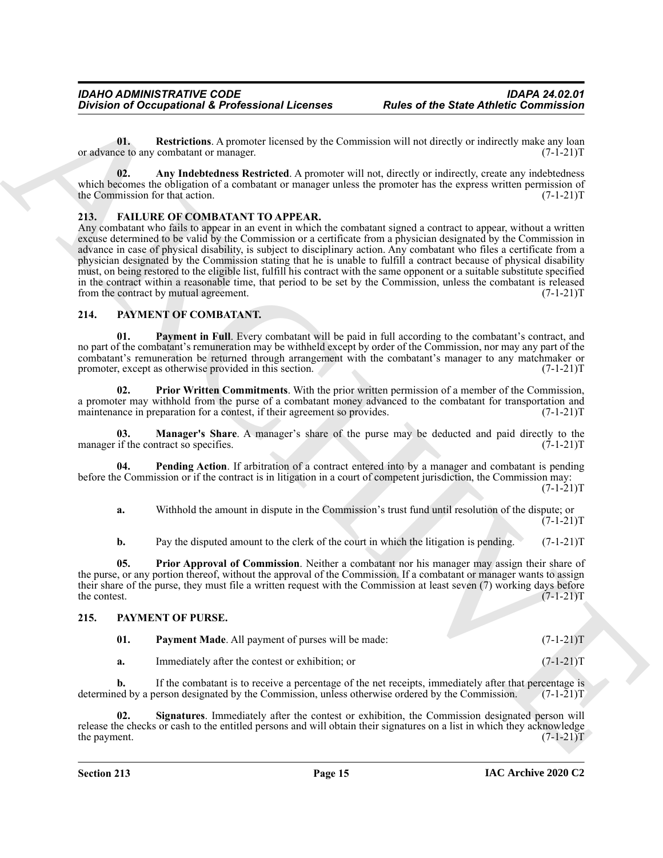<span id="page-14-14"></span>**01. Restrictions**. A promoter licensed by the Commission will not directly or indirectly make any loan ce to any combatant or manager.  $(7-1-21)T$ or advance to any combatant or manager.

<span id="page-14-13"></span>**02.** Any Indebtedness Restricted. A promoter will not, directly or indirectly, create any indebtedness which becomes the obligation of a combatant or manager unless the promoter has the express written permission of the Commission for that action. (7-1-21) the Commission for that action.

#### <span id="page-14-3"></span><span id="page-14-0"></span>**213. FAILURE OF COMBATANT TO APPEAR.**

Division of Occupational & Professional Licenses<br>
Units of the State Antheir Commission<br>
Units Relation Approximation Approximation will not discuss be interesting to the state of the state of the state<br>
with the commissi Any combatant who fails to appear in an event in which the combatant signed a contract to appear, without a written excuse determined to be valid by the Commission or a certificate from a physician designated by the Commission in advance in case of physical disability, is subject to disciplinary action. Any combatant who files a certificate from a physician designated by the Commission stating that he is unable to fulfill a contract because of physical disability must, on being restored to the eligible list, fulfill his contract with the same opponent or a suitable substitute specified in the contract within a reasonable time, that period to be set by the Commission, unless the combatant is released from the contract by mutual agreement. (7-1-21) from the contract by mutual agreement.

#### <span id="page-14-4"></span><span id="page-14-1"></span>**214. PAYMENT OF COMBATANT.**

<span id="page-14-6"></span>**01. Payment in Full**. Every combatant will be paid in full according to the combatant's contract, and no part of the combatant's remuneration may be withheld except by order of the Commission, nor may any part of the combatant's remuneration be returned through arrangement with the combatant's manager to any matchmaker or promoter, except as otherwise provided in this section. (7-1-21) promoter, except as otherwise provided in this section.

<span id="page-14-9"></span>**02. Prior Written Commitments**. With the prior written permission of a member of the Commission, a promoter may withhold from the purse of a combatant money advanced to the combatant for transportation and maintenance in preparation for a contest, if their agreement so provides. (7-1-21) maintenance in preparation for a contest, if their agreement so provides.

<span id="page-14-5"></span>**03. Manager's Share**. A manager's share of the purse may be deducted and paid directly to the if the contract so specifies. (7-1-21)T manager if the contract so specifies.

**04. Pending Action**. If arbitration of a contract entered into by a manager and combatant is pending before the Commission or if the contract is in litigation in a court of competent jurisdiction, the Commission may:  $(7-1-21)T$ 

<span id="page-14-7"></span>**a.** Withhold the amount in dispute in the Commission's trust fund until resolution of the dispute; or  $(7-1-21)T$ 

<span id="page-14-8"></span>**b.** Pay the disputed amount to the clerk of the court in which the litigation is pending. (7-1-21)T

**05. Prior Approval of Commission**. Neither a combatant nor his manager may assign their share of the purse, or any portion thereof, without the approval of the Commission. If a combatant or manager wants to assign their share of the purse, they must file a written request with the Commission at least seven (7) working days before the contest. (7-1-21)T the contest.  $(7-1-21)T$ 

#### <span id="page-14-2"></span>**215. PAYMENT OF PURSE.**

<span id="page-14-11"></span><span id="page-14-10"></span>

| 01. | <b>Payment Made.</b> All payment of purses will be made: | $(7-1-21)T$ |
|-----|----------------------------------------------------------|-------------|
|     | Immediately after the contest or exhibition; or          | $(7-1-21)T$ |

**b.** If the combatant is to receive a percentage of the net receipts, immediately after that percentage is ed by a person designated by the Commission, unless otherwise ordered by the Commission. (7-1-21)T determined by a person designated by the Commission, unless otherwise ordered by the Commission.

<span id="page-14-12"></span>**02. Signatures**. Immediately after the contest or exhibition, the Commission designated person will release the checks or cash to the entitled persons and will obtain their signatures on a list in which they acknowledge the payment. (7-1-21) the payment.  $(7-1-21)T$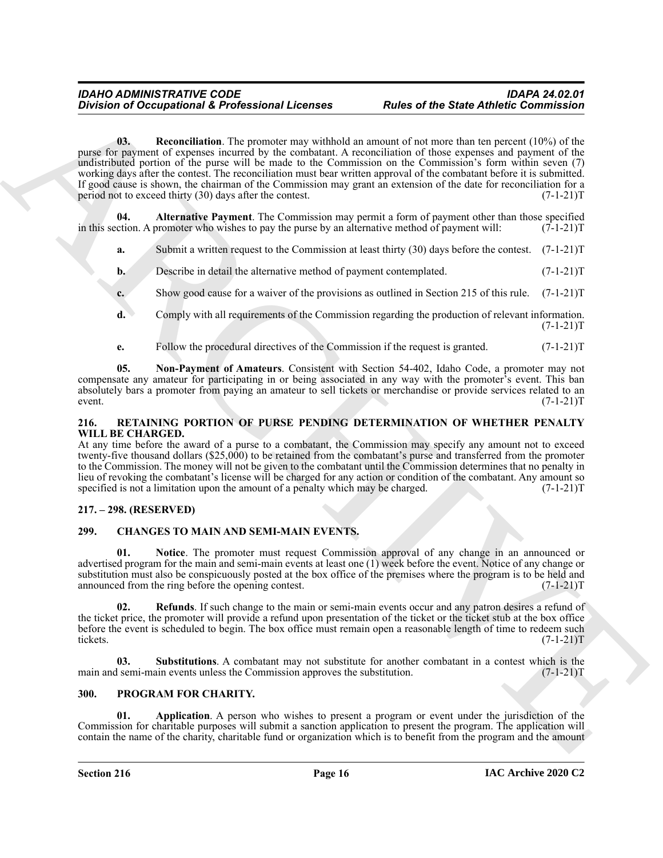Division of Occupational A Professional Licenses<br>
(a) Regional A Professional Licenses<br>
(a) Regional A Professional Accords and the alternative of the space and (10%) of the space of the space of the space of the space of **03. Reconciliation**. The promoter may withhold an amount of not more than ten percent (10%) of the purse for payment of expenses incurred by the combatant. A reconciliation of those expenses and payment of the undistributed portion of the purse will be made to the Commission on the Commission's form within seven (7) working days after the contest. The reconciliation must bear written approval of the combatant before it is submitted. If good cause is shown, the chairman of the Commission may grant an extension of the date for reconciliation for a period not to exceed thirty (30) days after the contest. (7-1-21) period not to exceed thirty  $(30)$  days after the contest.

<span id="page-15-10"></span>**04. Alternative Payment**. The Commission may permit a form of payment other than those specified in this section. A promoter who wishes to pay the purse by an alternative method of payment will:  $(7-1-21)T$ 

- <span id="page-15-8"></span>**a.** Submit a written request to the Commission at least thirty (30) days before the contest. (7-1-21)T
- **b.** Describe in detail the alternative method of payment contemplated. (7-1-21)T
- **c.** Show good cause for a waiver of the provisions as outlined in Section 215 of this rule. (7-1-21)T
- **d.** Comply with all requirements of the Commission regarding the production of relevant information.  $(7-1-21)T$
- <span id="page-15-9"></span>**e.** Follow the procedural directives of the Commission if the request is granted. (7-1-21)T

**05. Non-Payment of Amateurs**. Consistent with Section 54-402, Idaho Code, a promoter may not compensate any amateur for participating in or being associated in any way with the promoter's event. This ban absolutely bars a promoter from paying an amateur to sell tickets or merchandise or provide services related to an event. (7-1-21) event.  $(7-1-21)T$ 

#### <span id="page-15-13"></span><span id="page-15-0"></span>**216. RETAINING PORTION OF PURSE PENDING DETERMINATION OF WHETHER PENALTY WILL BE CHARGED.**

At any time before the award of a purse to a combatant, the Commission may specify any amount not to exceed twenty-five thousand dollars (\$25,000) to be retained from the combatant's purse and transferred from the promoter to the Commission. The money will not be given to the combatant until the Commission determines that no penalty in lieu of revoking the combatant's license will be charged for any action or condition of the combatant. Any amount so specified is not a limitation upon the amount of a penalty which may be charged.  $(7-1-21)$ T

### <span id="page-15-1"></span>**217. – 298. (RESERVED)**

### <span id="page-15-4"></span><span id="page-15-2"></span>**299. CHANGES TO MAIN AND SEMI-MAIN EVENTS.**

<span id="page-15-5"></span>**01. Notice**. The promoter must request Commission approval of any change in an announced or advertised program for the main and semi-main events at least one (1) week before the event. Notice of any change or substitution must also be conspicuously posted at the box office of the premises where the program is to be held and announced from the ring before the opening contest. (7-1-21)T

<span id="page-15-6"></span>**02. Refunds**. If such change to the main or semi-main events occur and any patron desires a refund of the ticket price, the promoter will provide a refund upon presentation of the ticket or the ticket stub at the box office before the event is scheduled to begin. The box office must remain open a reasonable length of time to redeem such tickets. (7-1-21)T

<span id="page-15-7"></span>**03.** Substitutions. A combatant may not substitute for another combatant in a contest which is the substitution. (7-1-21)T main and semi-main events unless the Commission approves the substitution.

#### <span id="page-15-11"></span><span id="page-15-3"></span>**300. PROGRAM FOR CHARITY.**

<span id="page-15-12"></span>**01. Application**. A person who wishes to present a program or event under the jurisdiction of the Commission for charitable purposes will submit a sanction application to present the program. The application will contain the name of the charity, charitable fund or organization which is to benefit from the program and the amount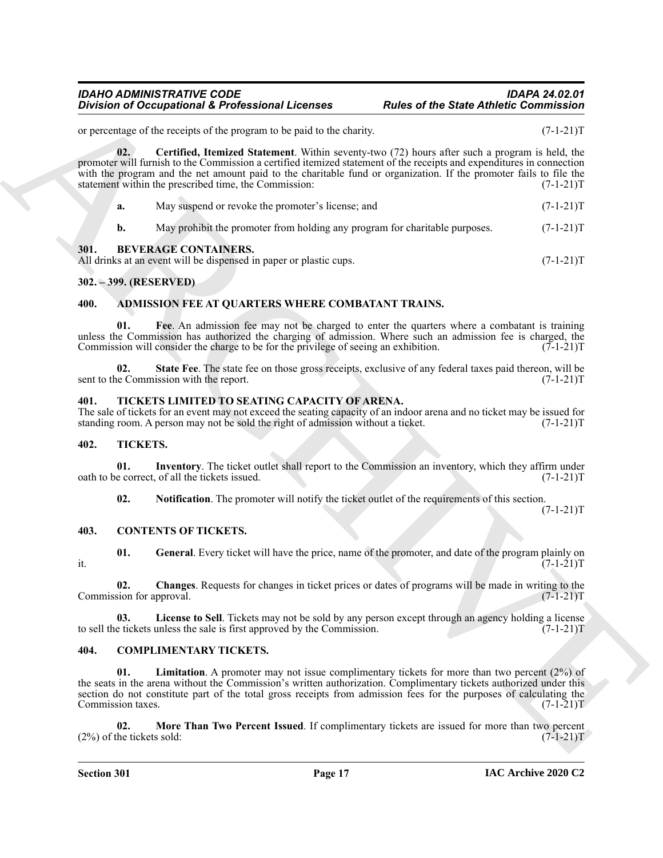<span id="page-16-18"></span>

|                                 | <b>Division of Occupational &amp; Professional Licenses</b>                                                                                                                                                                                                                                                                                                                                            | <b>Rules of the State Athletic Commission</b> |             |
|---------------------------------|--------------------------------------------------------------------------------------------------------------------------------------------------------------------------------------------------------------------------------------------------------------------------------------------------------------------------------------------------------------------------------------------------------|-----------------------------------------------|-------------|
|                                 | or percentage of the receipts of the program to be paid to the charity.                                                                                                                                                                                                                                                                                                                                |                                               | $(7-1-21)T$ |
| 02.                             | Certified, Itemized Statement. Within seventy-two (72) hours after such a program is held, the<br>promoter will furnish to the Commission a certified itemized statement of the receipts and expenditures in connection<br>with the program and the net amount paid to the charitable fund or organization. If the promoter fails to file the<br>statement within the prescribed time, the Commission: |                                               | $(7-1-21)T$ |
| a.                              | May suspend or revoke the promoter's license; and                                                                                                                                                                                                                                                                                                                                                      |                                               | $(7-1-21)T$ |
| b.                              | May prohibit the promoter from holding any program for charitable purposes.                                                                                                                                                                                                                                                                                                                            |                                               | $(7-1-21)T$ |
| 301.                            | <b>BEVERAGE CONTAINERS.</b><br>All drinks at an event will be dispensed in paper or plastic cups.                                                                                                                                                                                                                                                                                                      |                                               | $(7-1-21)T$ |
| 302. – 399. (RESERVED)          |                                                                                                                                                                                                                                                                                                                                                                                                        |                                               |             |
| 400.                            | ADMISSION FEE AT QUARTERS WHERE COMBATANT TRAINS.                                                                                                                                                                                                                                                                                                                                                      |                                               |             |
| 01.                             | Fee. An admission fee may not be charged to enter the quarters where a combatant is training<br>unless the Commission has authorized the charging of admission. Where such an admission fee is charged, the<br>Commission will consider the charge to be for the privilege of seeing an exhibition.                                                                                                    |                                               | $(7-1-21)T$ |
| 02.                             | State Fee. The state fee on those gross receipts, exclusive of any federal taxes paid thereon, will be<br>sent to the Commission with the report.                                                                                                                                                                                                                                                      |                                               | $(7-1-21)T$ |
| 401.                            | TICKETS LIMITED TO SEATING CAPACITY OF ARENA.<br>The sale of tickets for an event may not exceed the seating capacity of an indoor arena and no ticket may be issued for<br>standing room. A person may not be sold the right of admission without a ticket.                                                                                                                                           |                                               | $(7-1-21)T$ |
| 402.                            | TICKETS.                                                                                                                                                                                                                                                                                                                                                                                               |                                               |             |
| 01.                             | Inventory. The ticket outlet shall report to the Commission an inventory, which they affirm under<br>oath to be correct, of all the tickets issued.                                                                                                                                                                                                                                                    |                                               | $(7-1-21)T$ |
| 02.                             | <b>Notification</b> . The promoter will notify the ticket outlet of the requirements of this section.                                                                                                                                                                                                                                                                                                  |                                               | $(7-1-21)T$ |
| 403.                            | <b>CONTENTS OF TICKETS.</b>                                                                                                                                                                                                                                                                                                                                                                            |                                               |             |
| 01.<br>it.                      | General. Every ticket will have the price, name of the promoter, and date of the program plainly on                                                                                                                                                                                                                                                                                                    |                                               | $(7-1-21)T$ |
| 02.<br>Commission for approval. | Changes. Requests for changes in ticket prices or dates of programs will be made in writing to the                                                                                                                                                                                                                                                                                                     |                                               | $(7-1-21)T$ |
| 03.                             | License to Sell. Tickets may not be sold by any person except through an agency holding a license<br>to sell the tickets unless the sale is first approved by the Commission.                                                                                                                                                                                                                          |                                               | $(7-1-21)T$ |
| 404.                            | <b>COMPLIMENTARY TICKETS.</b>                                                                                                                                                                                                                                                                                                                                                                          |                                               |             |
| 01.                             | <b>Limitation.</b> A promoter may not issue complimentary tickets for more than two percent $(2\%)$ of<br>the seats in the arena without the Commission's written authorization. Complimentary tickets authorized under this<br>section do not constitute part of the total gross receipts from admission fees for the purposes of calculating the                                                     |                                               | $(7-1-21)T$ |
| Commission taxes.               |                                                                                                                                                                                                                                                                                                                                                                                                        |                                               |             |

#### <span id="page-16-10"></span><span id="page-16-1"></span><span id="page-16-0"></span>**302. – 399. (RESERVED)**

#### <span id="page-16-8"></span><span id="page-16-7"></span><span id="page-16-2"></span>**400. ADMISSION FEE AT QUARTERS WHERE COMBATANT TRAINS.**

#### <span id="page-16-22"></span><span id="page-16-9"></span><span id="page-16-3"></span>**401. TICKETS LIMITED TO SEATING CAPACITY OF ARENA.**

#### <span id="page-16-20"></span><span id="page-16-19"></span><span id="page-16-4"></span>**402. TICKETS.**

#### <span id="page-16-21"></span><span id="page-16-16"></span><span id="page-16-15"></span><span id="page-16-14"></span><span id="page-16-5"></span>**403. CONTENTS OF TICKETS.**

#### <span id="page-16-17"></span><span id="page-16-13"></span><span id="page-16-12"></span><span id="page-16-11"></span><span id="page-16-6"></span>**404. COMPLIMENTARY TICKETS.**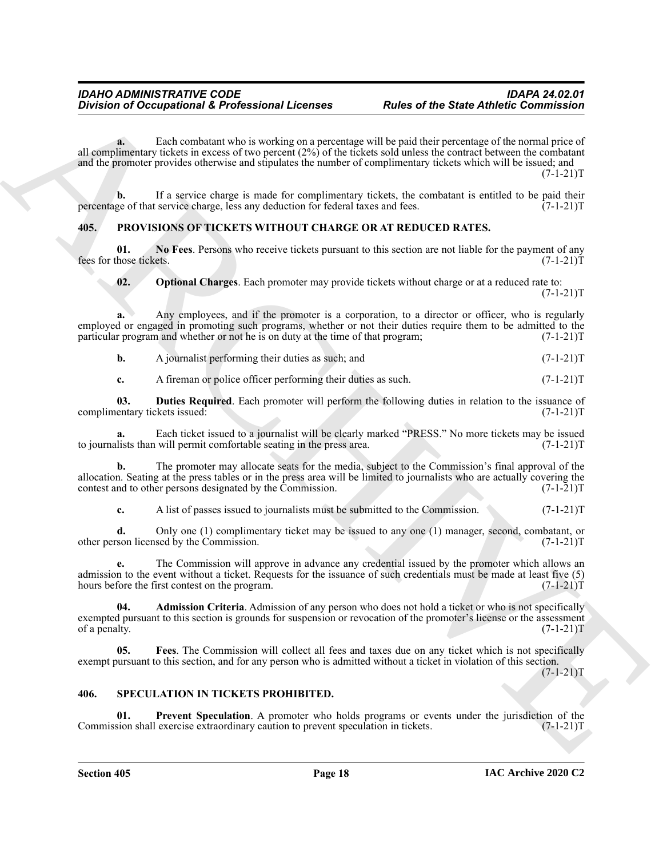Division of Comparisonal & Professional Licenses<br>
Alter of the State Arthuric Commission<br>
Alternative interactions in the property of the particular state of the state of the state of the state of the state<br>
Alternative i **a.** Each combatant who is working on a percentage will be paid their percentage of the normal price of all complimentary tickets in excess of two percent (2%) of the tickets sold unless the contract between the combatant and the promoter provides otherwise and stipulates the number of complimentary tickets which will be issued; and  $(7-1-21)T$ 

**b.** If a service charge is made for complimentary tickets, the combatant is entitled to be paid their ge of that service charge, less any deduction for federal taxes and fees.  $(7-1-21)$ percentage of that service charge, less any deduction for federal taxes and fees.

### <span id="page-17-2"></span><span id="page-17-0"></span>**405. PROVISIONS OF TICKETS WITHOUT CHARGE OR AT REDUCED RATES.**

**01.** No Fees. Persons who receive tickets pursuant to this section are not liable for the payment of any those tickets.  $(7-1-21)T$ fees for those tickets.

<span id="page-17-7"></span><span id="page-17-6"></span>**02. Optional Charges**. Each promoter may provide tickets without charge or at a reduced rate to:

 $(7-1-21)T$ 

**a.** Any employees, and if the promoter is a corporation, to a director or officer, who is regularly employed or engaged in promoting such programs, whether or not their duties require them to be admitted to the particular program and whether or not he is on duty at the time of that program; (7-1-21)T

**b.** A journalist performing their duties as such; and  $(7-1-21)$ T

<span id="page-17-4"></span>**c.** A fireman or police officer performing their duties as such. (7-1-21)T

**03.** Duties Required. Each promoter will perform the following duties in relation to the issuance of entary tickets issued:  $(7-1-21)T$ complimentary tickets issued:

Each ticket issued to a journalist will be clearly marked "PRESS." No more tickets may be issued will permit comfortable seating in the press area. (7-1-21)<sup>T</sup> to journalists than will permit comfortable seating in the press area.

**b.** The promoter may allocate seats for the media, subject to the Commission's final approval of the allocation. Seating at the press tables or in the press area will be limited to journalists who are actually covering the contest and to other persons designated by the Commission.  $(7-1-21)$ contest and to other persons designated by the Commission.

**c.** A list of passes issued to journalists must be submitted to the Commission. (7-1-21) T

**d.** Only one (1) complimentary ticket may be issued to any one (1) manager, second, combatant, or son licensed by the Commission. (7-1-21)T other person licensed by the Commission.

**e.** The Commission will approve in advance any credential issued by the promoter which allows an admission to the event without a ticket. Requests for the issuance of such credentials must be made at least five (5) hours before the first contest on the program. (7-1-21)T

<span id="page-17-3"></span>**04. Admission Criteria**. Admission of any person who does not hold a ticket or who is not specifically exempted pursuant to this section is grounds for suspension or revocation of the promoter's license or the assessment of a penalty.  $(7-1-21)T$ 

<span id="page-17-5"></span>**05. Fees**. The Commission will collect all fees and taxes due on any ticket which is not specifically exempt pursuant to this section, and for any person who is admitted without a ticket in violation of this section.

 $(7-1-21)T$ 

#### <span id="page-17-8"></span><span id="page-17-1"></span>**406. SPECULATION IN TICKETS PROHIBITED.**

<span id="page-17-9"></span>**01.** Prevent Speculation. A promoter who holds programs or events under the jurisdiction of the sion shall exercise extraordinary caution to prevent speculation in tickets. (7-1-21) Commission shall exercise extraordinary caution to prevent speculation in tickets.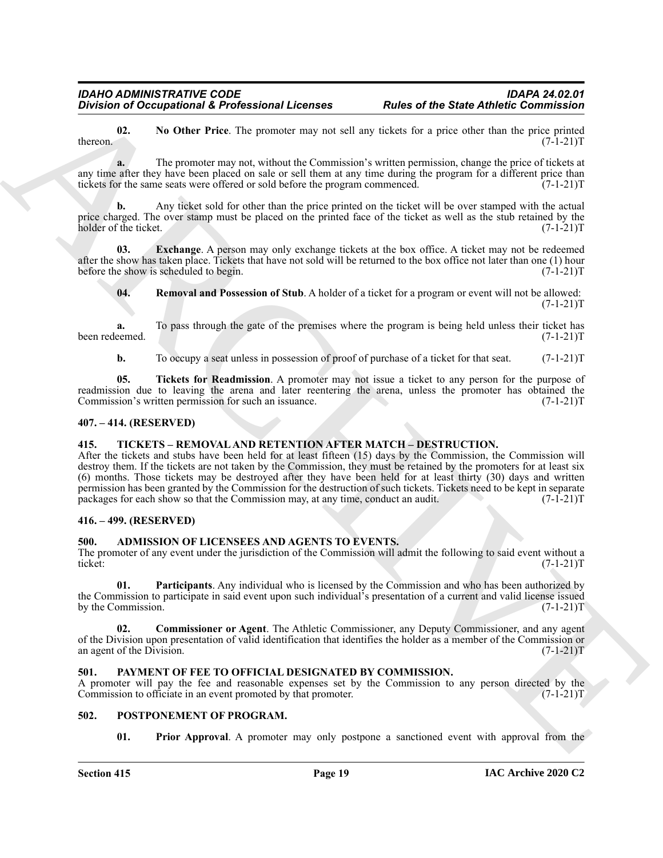<span id="page-18-13"></span>**02.** No Other Price. The promoter may not sell any tickets for a price other than the price printed  $(7-1-21)T$ thereon.  $(7-1-21)T$ 

**a.** The promoter may not, without the Commission's written permission, change the price of tickets at any time after they have been placed on sale or sell them at any time during the program for a different price than tickets for the same seats were offered or sold before the program commenced. (7-1-21)T

**b.** Any ticket sold for other than the price printed on the ticket will be over stamped with the actual price charged. The over stamp must be placed on the printed face of the ticket as well as the stub retained by the holder of the ticket. (7-1-21)T

**03.** Exchange. A person may only exchange tickets at the box office. A ticket may not be redeemed after the show has taken place. Tickets that have not sold will be returned to the box office not later than one (1) hour before the show is scheduled to begin. (7-1-21)T

<span id="page-18-14"></span><span id="page-18-12"></span>**04. Removal and Possession of Stub**. A holder of a ticket for a program or event will not be allowed:  $(7-1-21)T$ 

**a.** To pass through the gate of the premises where the program is being held unless their ticket has eemed.  $(7-1-21)T$ been redeemed.

<span id="page-18-15"></span>**b.** To occupy a seat unless in possession of proof of purchase of a ticket for that seat.  $(7-1-21)T$ 

**05. Tickets for Readmission**. A promoter may not issue a ticket to any person for the purpose of readmission due to leaving the arena and later reentering the arena, unless the promoter has obtained the Commission's written permission for such an issuance. (7-1-21) Commission's written permission for such an issuance.

#### <span id="page-18-0"></span>**407. – 414. (RESERVED)**

#### <span id="page-18-16"></span><span id="page-18-1"></span>**415. TICKETS – REMOVAL AND RETENTION AFTER MATCH – DESTRUCTION.**

Division of Occupations 2 Professional Licenses<br>
Material and the State Anthelic Commission<br>
Archives and the Representation of the State Anthelic Commission<br>
Archives and the Presenct and the State Commission of the Stat After the tickets and stubs have been held for at least fifteen (15) days by the Commission, the Commission will destroy them. If the tickets are not taken by the Commission, they must be retained by the promoters for at least six (6) months. Those tickets may be destroyed after they have been held for at least thirty (30) days and written permission has been granted by the Commission for the destruction of such tickets. Tickets need to be kept in separate packages for each show so that the Commission may, at any time, conduct an audit. (7-1-21) packages for each show so that the Commission may, at any time, conduct an audit.

#### <span id="page-18-2"></span>**416. – 499. (RESERVED)**

#### <span id="page-18-6"></span><span id="page-18-3"></span>**500. ADMISSION OF LICENSEES AND AGENTS TO EVENTS.**

The promoter of any event under the jurisdiction of the Commission will admit the following to said event without a ticket:<br>(7-1-21)T ticket: (7-1-21)T

<span id="page-18-8"></span>**01. Participants**. Any individual who is licensed by the Commission and who has been authorized by the Commission to participate in said event upon such individual<sup>5</sup> presentation of a current and valid license issued<br>by the Commission.  $(7-1-21)T$ by the Commission.

<span id="page-18-7"></span>**02. Commissioner or Agent**. The Athletic Commissioner, any Deputy Commissioner, and any agent of the Division upon presentation of valid identification that identifies the holder as a member of the Commission or<br>(7-1-21)T an agent of the Division.

#### <span id="page-18-9"></span><span id="page-18-4"></span>**501. PAYMENT OF FEE TO OFFICIAL DESIGNATED BY COMMISSION.**

A promoter will pay the fee and reasonable expenses set by the Commission to any person directed by the Commission to officiate in an event promoted by that promoter. (7-1-21) Commission to officiate in an event promoted by that promoter.

#### <span id="page-18-5"></span>**502. POSTPONEMENT OF PROGRAM.**

<span id="page-18-11"></span><span id="page-18-10"></span>**01.** Prior Approval. A promoter may only postpone a sanctioned event with approval from the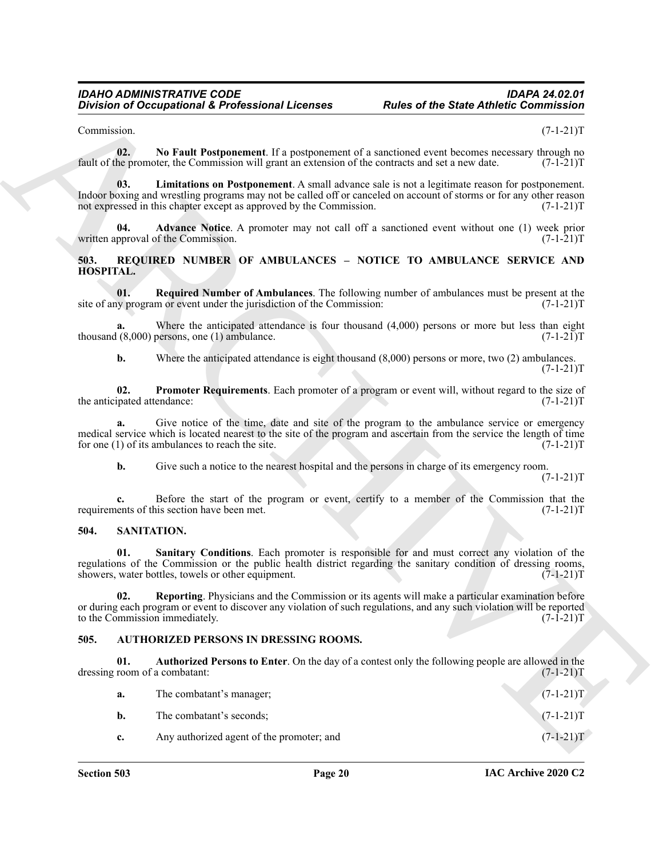#### <span id="page-19-9"></span><span id="page-19-8"></span><span id="page-19-7"></span><span id="page-19-6"></span><span id="page-19-5"></span><span id="page-19-4"></span><span id="page-19-0"></span>**503. REQUIRED NUMBER OF AMBULANCES – NOTICE TO AMBULANCE SERVICE AND HOSPITAL.**

#### <span id="page-19-12"></span><span id="page-19-10"></span><span id="page-19-1"></span>**504. SANITATION.**

#### <span id="page-19-11"></span><span id="page-19-3"></span><span id="page-19-2"></span>**505. AUTHORIZED PERSONS IN DRESSING ROOMS.**

|                                      | <b>Division of Occupational &amp; Professional Licenses</b>                                        | <b>Rules of the State Athletic Commission</b>                                                                                                                                                                                             |
|--------------------------------------|----------------------------------------------------------------------------------------------------|-------------------------------------------------------------------------------------------------------------------------------------------------------------------------------------------------------------------------------------------|
| Commission.                          |                                                                                                    | $(7-1-21)T$                                                                                                                                                                                                                               |
| 02.                                  | fault of the promoter, the Commission will grant an extension of the contracts and set a new date. | No Fault Postponement. If a postponement of a sanctioned event becomes necessary through no<br>$(7-1-21)T$                                                                                                                                |
| 03.                                  | not expressed in this chapter except as approved by the Commission.                                | Limitations on Postponement. A small advance sale is not a legitimate reason for postponement.<br>Indoor boxing and wrestling programs may not be called off or canceled on account of storms or for any other reason<br>$(7-1-21)T$      |
| 04.                                  | written approval of the Commission.                                                                | <b>Advance Notice.</b> A promoter may not call off a sanctioned event without one (1) week prior<br>$(7-1-21)T$                                                                                                                           |
| 503.<br><b>HOSPITAL.</b>             |                                                                                                    | REQUIRED NUMBER OF AMBULANCES - NOTICE TO AMBULANCE SERVICE AND                                                                                                                                                                           |
| 01.                                  | site of any program or event under the jurisdiction of the Commission:                             | <b>Required Number of Ambulances</b> . The following number of ambulances must be present at the<br>$(7-1-21)T$                                                                                                                           |
| a.                                   | thousand $(8,000)$ persons, one $(1)$ ambulance.                                                   | Where the anticipated attendance is four thousand $(4,000)$ persons or more but less than eight<br>$(7-1-21)T$                                                                                                                            |
| b.                                   |                                                                                                    | Where the anticipated attendance is eight thousand $(8,000)$ persons or more, two $(2)$ ambulances.<br>$(7-1-21)T$                                                                                                                        |
| 02.<br>the anticipated attendance:   |                                                                                                    | Promoter Requirements. Each promoter of a program or event will, without regard to the size of<br>$(7-1-21)T$                                                                                                                             |
| a.                                   | for one $(1)$ of its ambulances to reach the site.                                                 | Give notice of the time, date and site of the program to the ambulance service or emergency<br>medical service which is located nearest to the site of the program and ascertain from the service the length of time<br>$(7-1-21)T$       |
| b.                                   | Give such a notice to the nearest hospital and the persons in charge of its emergency room.        | $(7-1-21)T$                                                                                                                                                                                                                               |
|                                      | requirements of this section have been met.                                                        | Before the start of the program or event, certify to a member of the Commission that the<br>$(7-1-21)T$                                                                                                                                   |
| 504.                                 | SANITATION.                                                                                        |                                                                                                                                                                                                                                           |
| 01.                                  | showers, water bottles, towels or other equipment.                                                 | Sanitary Conditions. Each promoter is responsible for and must correct any violation of the<br>regulations of the Commission or the public health district regarding the sanitary condition of dressing rooms,<br>$(7-1-21)T$             |
| 02.                                  | to the Commission immediately.                                                                     | Reporting. Physicians and the Commission or its agents will make a particular examination before<br>or during each program or event to discover any violation of such regulations, and any such violation will be reported<br>$(7-1-21)T$ |
| 505.                                 | <b>AUTHORIZED PERSONS IN DRESSING ROOMS.</b>                                                       |                                                                                                                                                                                                                                           |
| 01.<br>dressing room of a combatant: |                                                                                                    | Authorized Persons to Enter. On the day of a contest only the following people are allowed in the<br>$(7-1-21)T$                                                                                                                          |
| a.                                   | The combatant's manager;                                                                           | $(7-1-21)T$                                                                                                                                                                                                                               |
| b.                                   | The combatant's seconds;                                                                           | $(7-1-21)T$                                                                                                                                                                                                                               |
|                                      |                                                                                                    |                                                                                                                                                                                                                                           |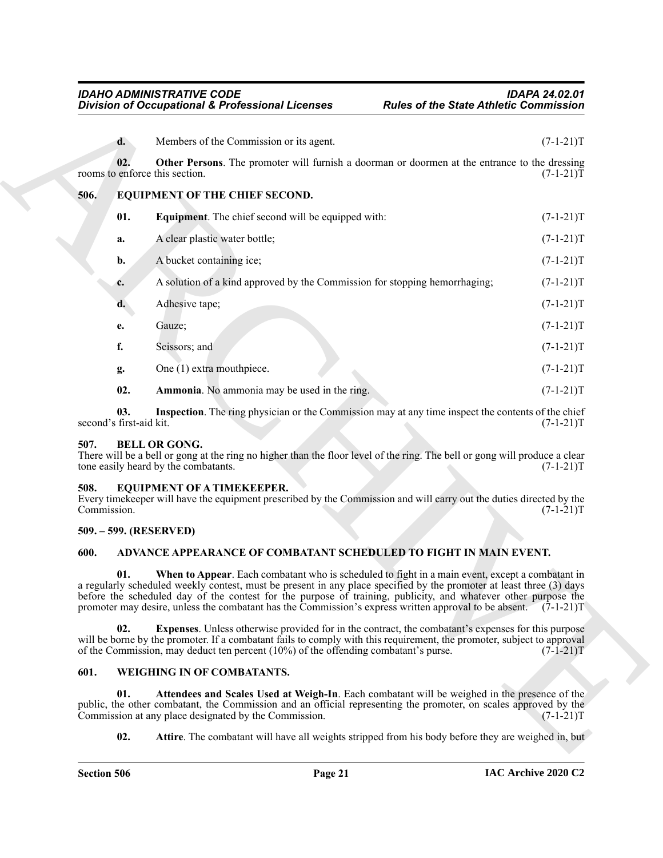<span id="page-20-13"></span><span id="page-20-11"></span><span id="page-20-0"></span>

|                                | <b>Division of Occupational &amp; Professional Licenses</b>                                                                                                                                                                                                                                                                                                                                                                                                    | <b>Rules of the State Athletic Commission</b> |             |
|--------------------------------|----------------------------------------------------------------------------------------------------------------------------------------------------------------------------------------------------------------------------------------------------------------------------------------------------------------------------------------------------------------------------------------------------------------------------------------------------------------|-----------------------------------------------|-------------|
| d.                             | Members of the Commission or its agent.                                                                                                                                                                                                                                                                                                                                                                                                                        |                                               | $(7-1-21)T$ |
| 02.                            | Other Persons. The promoter will furnish a doorman or doormen at the entrance to the dressing<br>rooms to enforce this section.                                                                                                                                                                                                                                                                                                                                |                                               | $(7-1-21)T$ |
| 506.                           | EQUIPMENT OF THE CHIEF SECOND.                                                                                                                                                                                                                                                                                                                                                                                                                                 |                                               |             |
| 01.                            | <b>Equipment.</b> The chief second will be equipped with:                                                                                                                                                                                                                                                                                                                                                                                                      |                                               | $(7-1-21)T$ |
| a.                             | A clear plastic water bottle;                                                                                                                                                                                                                                                                                                                                                                                                                                  |                                               | $(7-1-21)T$ |
| b.                             | A bucket containing ice;                                                                                                                                                                                                                                                                                                                                                                                                                                       |                                               | $(7-1-21)T$ |
| c.                             | A solution of a kind approved by the Commission for stopping hemorrhaging;                                                                                                                                                                                                                                                                                                                                                                                     |                                               | $(7-1-21)T$ |
| d.                             | Adhesive tape;                                                                                                                                                                                                                                                                                                                                                                                                                                                 |                                               | $(7-1-21)T$ |
| e.                             | Gauze;                                                                                                                                                                                                                                                                                                                                                                                                                                                         |                                               | $(7-1-21)T$ |
| f.                             | Scissors; and                                                                                                                                                                                                                                                                                                                                                                                                                                                  |                                               | $(7-1-21)T$ |
| g.                             | One (1) extra mouthpiece.                                                                                                                                                                                                                                                                                                                                                                                                                                      |                                               | $(7-1-21)T$ |
| 02.                            | Ammonia. No ammonia may be used in the ring.                                                                                                                                                                                                                                                                                                                                                                                                                   |                                               | $(7-1-21)T$ |
| 03.<br>second's first-aid kit. | Inspection. The ring physician or the Commission may at any time inspect the contents of the chief                                                                                                                                                                                                                                                                                                                                                             |                                               | $(7-1-21)T$ |
| 507.                           | <b>BELL OR GONG.</b><br>There will be a bell or gong at the ring no higher than the floor level of the ring. The bell or gong will produce a clear<br>tone easily heard by the combatants.                                                                                                                                                                                                                                                                     |                                               | $(7-1-21)T$ |
| 508.<br>Commission.            | <b>EQUIPMENT OF A TIMEKEEPER.</b><br>Every timekeeper will have the equipment prescribed by the Commission and will carry out the duties directed by the                                                                                                                                                                                                                                                                                                       |                                               | $(7-1-21)T$ |
| 509. – 599. (RESERVED)         |                                                                                                                                                                                                                                                                                                                                                                                                                                                                |                                               |             |
| 600.                           | ADVANCE APPEARANCE OF COMBATANT SCHEDULED TO FIGHT IN MAIN EVENT.                                                                                                                                                                                                                                                                                                                                                                                              |                                               |             |
| 01.                            | When to Appear. Each combatant who is scheduled to fight in a main event, except a combatant in<br>a regularly scheduled weekly contest, must be present in any place specified by the promoter at least three (3) days<br>before the scheduled day of the contest for the purpose of training, publicity, and whatever other purpose the<br>promoter may desire, unless the combatant has the Commission's express written approval to be absent. $(7-1-21)T$ |                                               |             |
| 02.                            | <b>Expenses.</b> Unless otherwise provided for in the contract, the combatant's expenses for this purpose<br>will be borne by the promoter. If a combatant fails to comply with this requirement, the promoter, subject to approval<br>of the Commission, may deduct ten percent (10%) of the offending combatant's purse.                                                                                                                                     |                                               | $(7-1-21)T$ |
| 601.                           | WEIGHING IN OF COMBATANTS.                                                                                                                                                                                                                                                                                                                                                                                                                                     |                                               |             |
| 01.                            | Attendees and Scales Used at Weigh-In. Each combatant will be weighed in the presence of the<br>public, the other combatant, the Commission and an official representing the promoter, on scales approved by the<br>Commission at any place designated by the Commission.                                                                                                                                                                                      |                                               | $(7-1-21)T$ |
| 02.                            | Attire. The combatant will have all weights stripped from his body before they are weighed in, but                                                                                                                                                                                                                                                                                                                                                             |                                               |             |

#### <span id="page-20-14"></span><span id="page-20-12"></span><span id="page-20-10"></span><span id="page-20-9"></span><span id="page-20-2"></span><span id="page-20-1"></span>**508. EQUIPMENT OF A TIMEKEEPER.**

#### <span id="page-20-3"></span>**509. – 599. (RESERVED)**

#### <span id="page-20-8"></span><span id="page-20-6"></span><span id="page-20-4"></span>**600. ADVANCE APPEARANCE OF COMBATANT SCHEDULED TO FIGHT IN MAIN EVENT.**

#### <span id="page-20-17"></span><span id="page-20-16"></span><span id="page-20-15"></span><span id="page-20-7"></span><span id="page-20-5"></span>**601. WEIGHING IN OF COMBATANTS.**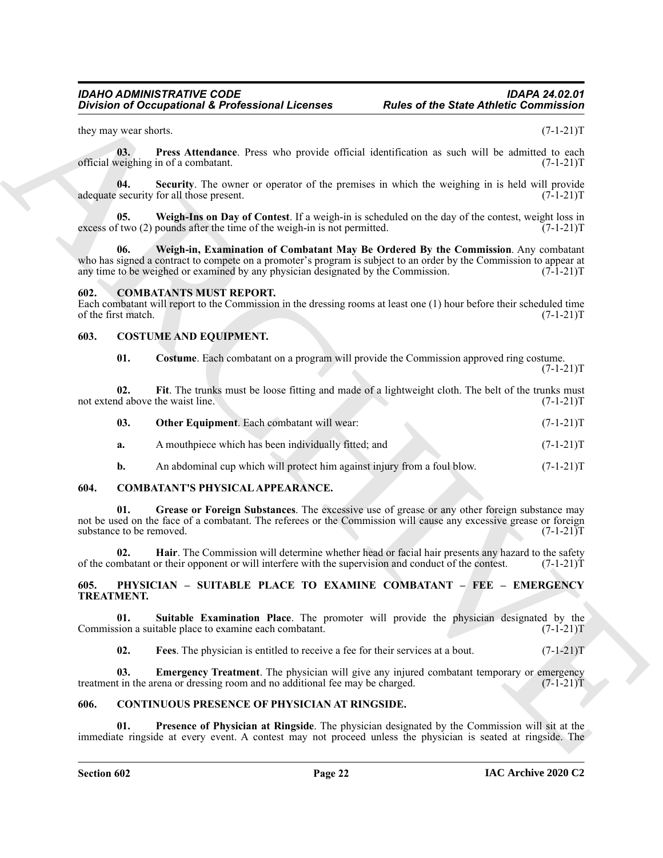<span id="page-21-19"></span>they may wear shorts. (7-1-21)T

**03. Press Attendance**. Press who provide official identification as such will be admitted to each veighing in of a combatant. (7-1-21) official weighing in of a combatant.

<span id="page-21-20"></span>**04.** Security. The owner or operator of the premises in which the weighing in is held will provide security for all those present. (7-1-21) adequate security for all those present.

<span id="page-21-22"></span><span id="page-21-21"></span>**05. Weigh-Ins on Day of Contest**. If a weigh-in is scheduled on the day of the contest, weight loss in excess of two (2) pounds after the time of the weigh-in is not permitted.  $(7-1-21)T$ 

Division of Occupational & Professional Licenses<br>
Rules of the State Antoine Connections<br>
they are Attentions Party who provide official distribution to the help is a division of the state of the state of the state of the **06. Weigh-in, Examination of Combatant May Be Ordered By the Commission**. Any combatant who has signed a contract to compete on a promoter's program is subject to an order by the Commission to appear at any time to be weighed or examined by any physician designated by the Commission.  $(7-1-21)$ T

#### <span id="page-21-8"></span><span id="page-21-0"></span>**602. COMBATANTS MUST REPORT.**

Each combatant will report to the Commission in the dressing rooms at least one (1) hour before their scheduled time of the first match. (7-1-21)T of the first match.

#### <span id="page-21-1"></span>**603. COSTUME AND EQUIPMENT.**

<span id="page-21-13"></span><span id="page-21-12"></span><span id="page-21-11"></span>**01. Costume**. Each combatant on a program will provide the Commission approved ring costume.  $(7-1-21)T$ 

|                                  |  |  |  |  | Fit. The trunks must be loose fitting and made of a lightweight cloth. The belt of the trunks must |  |             |  |
|----------------------------------|--|--|--|--|----------------------------------------------------------------------------------------------------|--|-------------|--|
| not extend above the waist line. |  |  |  |  |                                                                                                    |  | $(7-1-21)T$ |  |

<span id="page-21-14"></span>

|  | <b>Other Equipment.</b> Each combatant will wear: | $(7-1-21)T$ |
|--|---------------------------------------------------|-------------|
|--|---------------------------------------------------|-------------|

- **a.** A mouthpiece which has been individually fitted; and  $(7-1-21)$ T
- <span id="page-21-7"></span><span id="page-21-5"></span>**b.** An abdominal cup which will protect him against injury from a foul blow.  $(7-1-21)$ T

#### <span id="page-21-2"></span>**604. COMBATANT'S PHYSICAL APPEARANCE.**

**01. Grease or Foreign Substances**. The excessive use of grease or any other foreign substance may not be used on the face of a combatant. The referees or the Commission will cause any excessive grease or foreign substance to be removed.  $(7-1-21)$ T

<span id="page-21-6"></span>**02. Hair**. The Commission will determine whether head or facial hair presents any hazard to the safety mbatant or their opponent or will interfere with the supervision and conduct of the contest. (7-1-21) of the combatant or their opponent or will interfere with the supervision and conduct of the contest.

#### <span id="page-21-15"></span><span id="page-21-3"></span>**605. PHYSICIAN – SUITABLE PLACE TO EXAMINE COMBATANT – FEE – EMERGENCY TREATMENT.**

**01.** Suitable Examination Place. The promoter will provide the physician designated by the sion a suitable place to examine each combatant. (7-1-21) Commission a suitable place to examine each combatant.

<span id="page-21-18"></span><span id="page-21-17"></span><span id="page-21-16"></span><span id="page-21-10"></span>**02. Fees**. The physician is entitled to receive a fee for their services at a bout. (7-1-21)T

**03. Emergency Treatment**. The physician will give any injured combatant temporary or emergency treatment in the arena or dressing room and no additional fee may be charged.  $(7-1-21)$ T

#### <span id="page-21-9"></span><span id="page-21-4"></span>**606. CONTINUOUS PRESENCE OF PHYSICIAN AT RINGSIDE.**

**01. Presence of Physician at Ringside**. The physician designated by the Commission will sit at the immediate ringside at every event. A contest may not proceed unless the physician is seated at ringside. The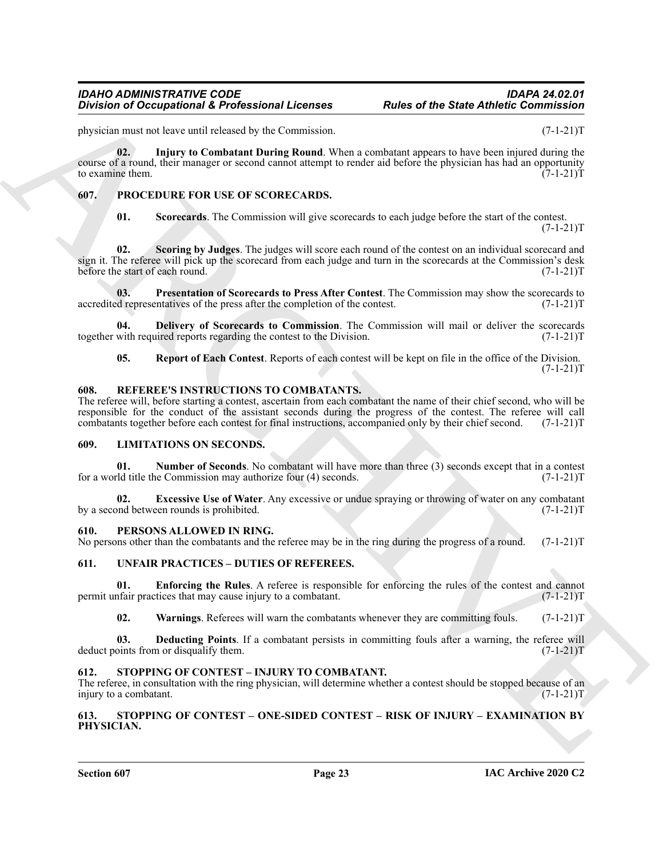<span id="page-22-7"></span>physician must not leave until released by the Commission. (7-1-21)T

Division of Occupational & Professional Licenses<br>
Spherical division of Division of the Street, and the spherical division of the spherical division of the spherical division of the spherical division of the spherical div **02. Injury to Combatant During Round**. When a combatant appears to have been injured during the course of a round, their manager or second cannot attempt to render aid before the physician has had an opportunity to examine them.  $(7-1-21)T$ 

### <span id="page-22-0"></span>**607. PROCEDURE FOR USE OF SCORECARDS.**

<span id="page-22-17"></span><span id="page-22-16"></span><span id="page-22-14"></span><span id="page-22-12"></span>**01. Scorecards**. The Commission will give scorecards to each judge before the start of the contest.  $(7-1-21)T$ 

**02. Scoring by Judges**. The judges will score each round of the contest on an individual scorecard and sign it. The referee will pick up the scorecard from each judge and turn in the scorecards at the Commission's desk before the start of each round. (7-1-21)T

**03. Presentation of Scorecards to Press After Contest**. The Commission may show the scorecards to depresentatives of the press after the completion of the contest. (7-1-21) accredited representatives of the press after the completion of the contest.

**04. Delivery of Scorecards to Commission**. The Commission will mail or deliver the scorecards with required reports regarding the contest to the Division. (7-1-21) together with required reports regarding the contest to the Division.

<span id="page-22-18"></span><span id="page-22-15"></span><span id="page-22-13"></span>**05. Report of Each Contest**. Reports of each contest will be kept on file in the office of the Division.  $(7-1-21)T$ 

#### <span id="page-22-1"></span>**608. REFEREE'S INSTRUCTIONS TO COMBATANTS.**

The referee will, before starting a contest, ascertain from each combatant the name of their chief second, who will be responsible for the conduct of the assistant seconds during the progress of the contest. The referee will call combatants together before each contest for final instructions, accompanied only by their chief second. (7-1-21 combatants together before each contest for final instructions, accompanied only by their chief second.

#### <span id="page-22-8"></span><span id="page-22-2"></span>**609. LIMITATIONS ON SECONDS.**

<span id="page-22-10"></span>**01. Number of Seconds**. No combatant will have more than three (3) seconds except that in a contest definition that in a contest definition may authorize four (4) seconds. for a world title the Commission may authorize four  $(4)$  seconds.

<span id="page-22-9"></span>**02. Excessive Use of Water**. Any excessive or undue spraying or throwing of water on any combatant ond between rounds is prohibited. (7-1-21) by a second between rounds is prohibited.

#### <span id="page-22-11"></span><span id="page-22-3"></span>**610. PERSONS ALLOWED IN RING.**

No persons other than the combatants and the referee may be in the ring during the progress of a round. (7-1-21)T

#### <span id="page-22-21"></span><span id="page-22-4"></span>**611. UNFAIR PRACTICES – DUTIES OF REFEREES.**

**01. Enforcing the Rules**. A referee is responsible for enforcing the rules of the contest and cannot infair practices that may cause injury to a combatant. (7-1-21) permit unfair practices that may cause injury to a combatant.

<span id="page-22-24"></span><span id="page-22-23"></span><span id="page-22-22"></span>**02.** Warnings. Referees will warn the combatants whenever they are committing fouls. (7-1-21)T.

**03. Deducting Points**. If a combatant persists in committing fouls after a warning, the referee will points from or disqualify them.  $(7-1-21)T$ deduct points from or disqualify them.

#### <span id="page-22-19"></span><span id="page-22-5"></span>**612. STOPPING OF CONTEST – INJURY TO COMBATANT.**

The referee, in consultation with the ring physician, will determine whether a contest should be stopped because of an injury to a combatant. (7-1-21)T

#### <span id="page-22-20"></span><span id="page-22-6"></span>**613. STOPPING OF CONTEST – ONE-SIDED CONTEST – RISK OF INJURY – EXAMINATION BY PHYSICIAN.**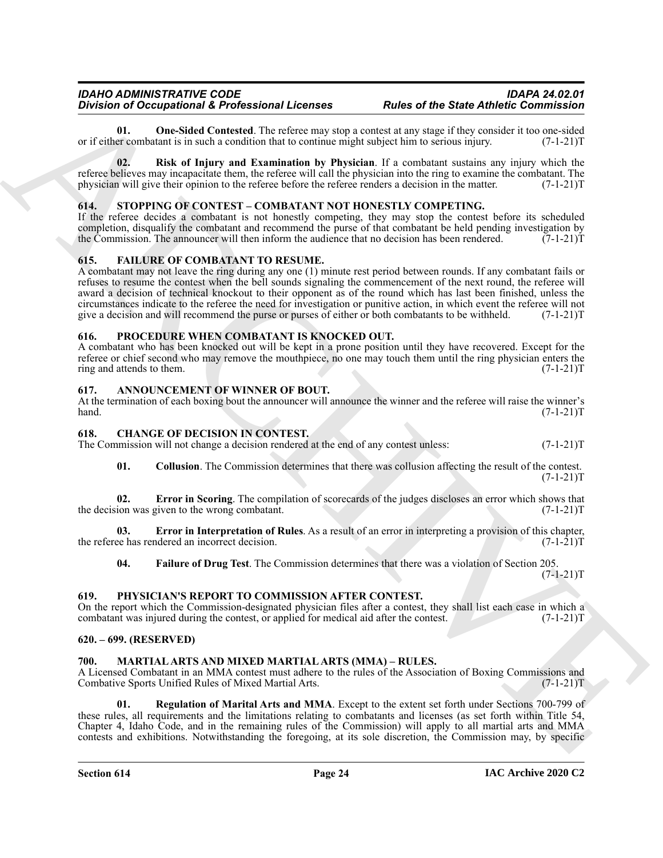**01.** One-Sided Contested. The referee may stop a contest at any stage if they consider it too one-sided er combatant is in such a condition that to continue might subject him to serious injury. (7-1-21) or if either combatant is in such a condition that to continue might subject him to serious injury.

**02. Risk of Injury and Examination by Physician**. If a combatant sustains any injury which the referee believes may incapacitate them, the referee will call the physician into the ring to examine the combatant. The physician will give their opinion to the referee before the referee renders a decision in the matter. (7-1-21)T

#### <span id="page-23-19"></span><span id="page-23-0"></span>**614. STOPPING OF CONTEST – COMBATANT NOT HONESTLY COMPETING.**

If the referee decides a combatant is not honestly competing, they may stop the contest before its scheduled completion, disqualify the combatant and recommend the purse of that combatant be held pending investigation by the Commission. The announcer will then inform the audience that no decision has been rendered. (7-1-21) the Commission. The announcer will then inform the audience that no decision has been rendered.

#### <span id="page-23-14"></span><span id="page-23-1"></span>**615. FAILURE OF COMBATANT TO RESUME.**

Bowledge and the state of the state of the state of the state of the State Labelin Column and  $\theta$ .<br>
The control of the state of the state of the state of the state of the state of the state of the state of the state of t A combatant may not leave the ring during any one (1) minute rest period between rounds. If any combatant fails or refuses to resume the contest when the bell sounds signaling the commencement of the next round, the referee will award a decision of technical knockout to their opponent as of the round which has last been finished, unless the circumstances indicate to the referee the need for investigation or punitive action, in which event the referee will not give a decision and will recommend the purse or purses of either or both combatants to be withheld. ( give a decision and will recommend the purse or purses of either or both combatants to be withheld.

#### <span id="page-23-18"></span><span id="page-23-2"></span>**616. PROCEDURE WHEN COMBATANT IS KNOCKED OUT.**

A combatant who has been knocked out will be kept in a prone position until they have recovered. Except for the referee or chief second who may remove the mouthpiece, no one may touch them until the ring physician enters the ring and attends to them. (7-1-21) ring and attends to them.

#### <span id="page-23-8"></span><span id="page-23-3"></span>**617. ANNOUNCEMENT OF WINNER OF BOUT.**

At the termination of each boxing bout the announcer will announce the winner and the referee will raise the winner's hand.  $(7-1-21)$ T  $h$ and.  $(7-1-21)$ T

#### <span id="page-23-9"></span><span id="page-23-4"></span>**618. CHANGE OF DECISION IN CONTEST.**

The Commission will not change a decision rendered at the end of any contest unless:  $(7-1-21)$ T

<span id="page-23-12"></span><span id="page-23-10"></span>**01. Collusion**. The Commission determines that there was collusion affecting the result of the contest.  $(7-1-21)T$ 

**02. Error in Scoring**. The compilation of scorecards of the judges discloses an error which shows that ion was given to the wrong combatant. (7-1-21) the decision was given to the wrong combatant.

**03. Error in Interpretation of Rules**. As a result of an error in interpreting a provision of this chapter, ee has rendered an incorrect decision. (7-1-21) the referee has rendered an incorrect decision.

<span id="page-23-17"></span><span id="page-23-13"></span><span id="page-23-11"></span>**04. Failure of Drug Test**. The Commission determines that there was a violation of Section 205.

 $(7-1-21)T$ 

#### <span id="page-23-5"></span>**619. PHYSICIAN'S REPORT TO COMMISSION AFTER CONTEST.**

On the report which the Commission-designated physician files after a contest, they shall list each case in which a combatant was injured during the contest, or applied for medical aid after the contest.  $(7-1-21)T$ combatant was injured during the contest, or applied for medical aid after the contest.

#### <span id="page-23-6"></span>**620. – 699. (RESERVED)**

#### <span id="page-23-15"></span><span id="page-23-7"></span>**700. MARTIAL ARTS AND MIXED MARTIAL ARTS (MMA) – RULES.**

A Licensed Combatant in an MMA contest must adhere to the rules of the Association of Boxing Commissions and Combative Sports Unified Rules of Mixed Martial Arts. (7-1-21)T

<span id="page-23-16"></span>**01. Regulation of Marital Arts and MMA**. Except to the extent set forth under Sections 700-799 of these rules, all requirements and the limitations relating to combatants and licenses (as set forth within Title 54, Chapter 4, Idaho Code, and in the remaining rules of the Commission) will apply to all martial arts and MMA contests and exhibitions. Notwithstanding the foregoing, at its sole discretion, the Commission may, by specific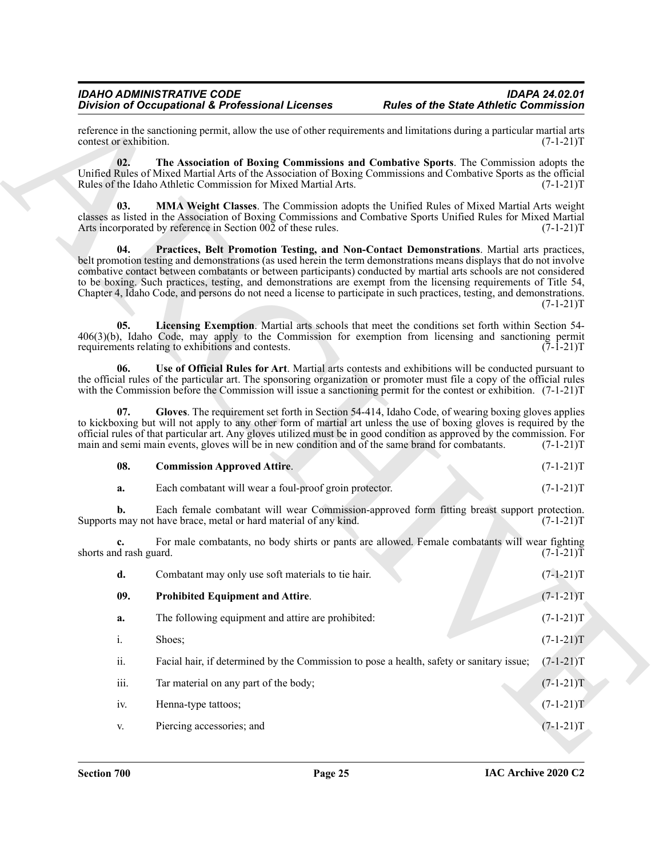#### <span id="page-24-6"></span><span id="page-24-5"></span><span id="page-24-2"></span><span id="page-24-1"></span><span id="page-24-0"></span>**08. Commission Approved Attire**. (7-1-21)T

<span id="page-24-4"></span><span id="page-24-3"></span>

|                              | <b>Division of Occupational &amp; Professional Licenses</b>                                                                                                                                                                                                                                                                                                                                                                                                                                                                                                                              | <b>Rules of the State Athletic Commission</b> |             |
|------------------------------|------------------------------------------------------------------------------------------------------------------------------------------------------------------------------------------------------------------------------------------------------------------------------------------------------------------------------------------------------------------------------------------------------------------------------------------------------------------------------------------------------------------------------------------------------------------------------------------|-----------------------------------------------|-------------|
| contest or exhibition.       | reference in the sanctioning permit, allow the use of other requirements and limitations during a particular martial arts                                                                                                                                                                                                                                                                                                                                                                                                                                                                |                                               | $(7-1-21)T$ |
| 02.                          | The Association of Boxing Commissions and Combative Sports. The Commission adopts the<br>Unified Rules of Mixed Martial Arts of the Association of Boxing Commissions and Combative Sports as the official<br>Rules of the Idaho Athletic Commission for Mixed Martial Arts.                                                                                                                                                                                                                                                                                                             |                                               | $(7-1-21)T$ |
| 03.                          | MMA Weight Classes. The Commission adopts the Unified Rules of Mixed Martial Arts weight<br>classes as listed in the Association of Boxing Commissions and Combative Sports Unified Rules for Mixed Martial<br>Arts incorporated by reference in Section 002 of these rules.                                                                                                                                                                                                                                                                                                             |                                               | $(7-1-21)T$ |
| 04.                          | Practices, Belt Promotion Testing, and Non-Contact Demonstrations. Martial arts practices,<br>belt promotion testing and demonstrations (as used herein the term demonstrations means displays that do not involve<br>combative contact between combatants or between participants) conducted by martial arts schools are not considered<br>to be boxing. Such practices, testing, and demonstrations are exempt from the licensing requirements of Title 54,<br>Chapter 4, Idaho Code, and persons do not need a license to participate in such practices, testing, and demonstrations. |                                               | $(7-1-21)T$ |
| 05.                          | Licensing Exemption. Martial arts schools that meet the conditions set forth within Section 54-<br>406(3)(b), Idaho Code, may apply to the Commission for exemption from licensing and sanctioning permit<br>requirements relating to exhibitions and contests.                                                                                                                                                                                                                                                                                                                          |                                               | $(7-1-21)T$ |
| 06.                          | Use of Official Rules for Art. Martial arts contests and exhibitions will be conducted pursuant to<br>the official rules of the particular art. The sponsoring organization or promoter must file a copy of the official rules<br>with the Commission before the Commission will issue a sanctioning permit for the contest or exhibition. $(7-1-21)$ T                                                                                                                                                                                                                                  |                                               |             |
| 07.                          | Gloves. The requirement set forth in Section 54-414, Idaho Code, of wearing boxing gloves applies<br>to kickboxing but will not apply to any other form of martial art unless the use of boxing gloves is required by the<br>official rules of that particular art. Any gloves utilized must be in good condition as approved by the commission. For<br>main and semi main events, gloves will be in new condition and of the same brand for combatants.                                                                                                                                 |                                               | $(7-1-21)T$ |
| 08.                          | <b>Commission Approved Attire.</b>                                                                                                                                                                                                                                                                                                                                                                                                                                                                                                                                                       |                                               | $(7-1-21)T$ |
| a.                           | Each combatant will wear a foul-proof groin protector.                                                                                                                                                                                                                                                                                                                                                                                                                                                                                                                                   |                                               | $(7-1-21)T$ |
| b.                           | Each female combatant will wear Commission-approved form fitting breast support protection.<br>Supports may not have brace, metal or hard material of any kind.                                                                                                                                                                                                                                                                                                                                                                                                                          |                                               | $(7-1-21)T$ |
| c.<br>shorts and rash guard. | For male combatants, no body shirts or pants are allowed. Female combatants will wear fighting                                                                                                                                                                                                                                                                                                                                                                                                                                                                                           |                                               | $(7-1-21)T$ |
| d.                           | Combatant may only use soft materials to tie hair.                                                                                                                                                                                                                                                                                                                                                                                                                                                                                                                                       |                                               | $(7-1-21)T$ |
| 09.                          | <b>Prohibited Equipment and Attire.</b>                                                                                                                                                                                                                                                                                                                                                                                                                                                                                                                                                  |                                               | $(7-1-21)T$ |
| a.                           | The following equipment and attire are prohibited:                                                                                                                                                                                                                                                                                                                                                                                                                                                                                                                                       |                                               | $(7-1-21)T$ |
| i.                           | Shoes;                                                                                                                                                                                                                                                                                                                                                                                                                                                                                                                                                                                   |                                               | $(7-1-21)T$ |
| ii.                          | Facial hair, if determined by the Commission to pose a health, safety or sanitary issue;                                                                                                                                                                                                                                                                                                                                                                                                                                                                                                 |                                               | $(7-1-21)T$ |
|                              | Tar material on any part of the body;                                                                                                                                                                                                                                                                                                                                                                                                                                                                                                                                                    |                                               | $(7-1-21)T$ |
| iii.                         |                                                                                                                                                                                                                                                                                                                                                                                                                                                                                                                                                                                          |                                               |             |
| iv.                          | Henna-type tattoos;                                                                                                                                                                                                                                                                                                                                                                                                                                                                                                                                                                      |                                               | $(7-1-21)T$ |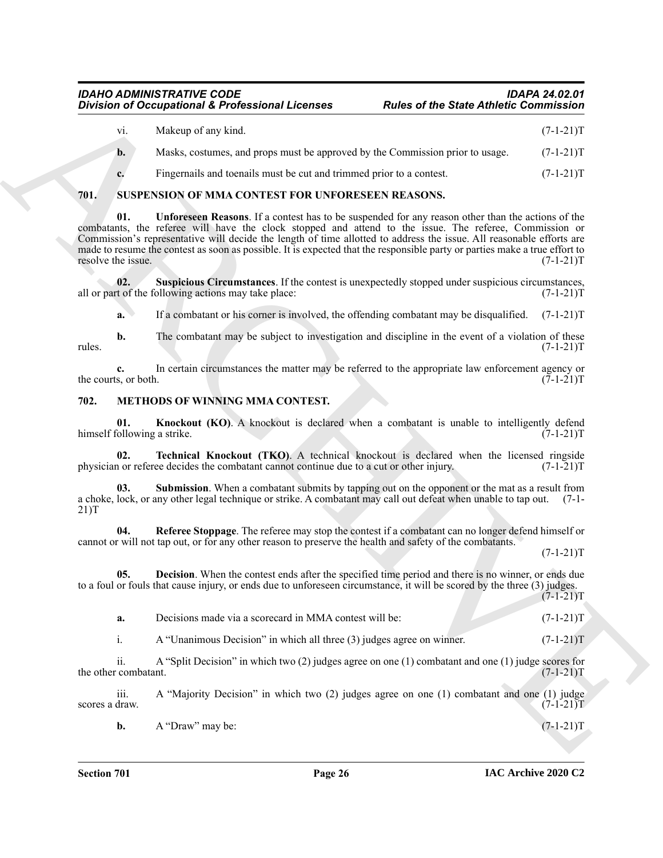| Makeup of any kind.                                                           | $(7-1-21)T$ |
|-------------------------------------------------------------------------------|-------------|
| Masks, costumes, and props must be approved by the Commission prior to usage. | $(7-1-21)T$ |

<span id="page-25-10"></span><span id="page-25-8"></span>**c.** Fingernails and toenails must be cut and trimmed prior to a contest.  $(7-1-21)$ T

#### <span id="page-25-0"></span>**701. SUSPENSION OF MMA CONTEST FOR UNFORESEEN REASONS.**

Division of Cocapations 3. Professional Licenses Radios of the State Antiotic Commission<br>
Maker Cocapations 3. Professional Licenses<br>
The Maker Assemble and Archivestrate approach by the Canonical State 2. (14-21)<br>
R. SUS **01. Unforeseen Reasons**. If a contest has to be suspended for any reason other than the actions of the combatants, the referee will have the clock stopped and attend to the issue. The referee, Commission or Commission's representative will decide the length of time allotted to address the issue. All reasonable efforts are made to resume the contest as soon as possible. It is expected that the responsible party or parties make a true effort to resolve the issue. (7-1-21)T resolve the issue.

**02.** Suspicious Circumstances. If the contest is unexpectedly stopped under suspicious circumstances, t of the following actions may take place:  $(7-1-21)T$ all or part of the following actions may take place:

<span id="page-25-9"></span>**a.** If a combatant or his corner is involved, the offending combatant may be disqualified. (7-1-21)T

**b.** The combatant may be subject to investigation and discipline in the event of a violation of these  $(7-1-21)$ rules. (7-1-21)T

**c.** In certain circumstances the matter may be referred to the appropriate law enforcement agency or s, or both.  $(7-1-21)T$ the courts, or both.

### <span id="page-25-2"></span><span id="page-25-1"></span>**702. METHODS OF WINNING MMA CONTEST.**

<span id="page-25-4"></span>**01. Knockout (KO)**. A knockout is declared when a combatant is unable to intelligently defend ollowing a strike. (7-1-21) himself following a strike.

<span id="page-25-7"></span>**02. Technical Knockout (TKO)**. A technical knockout is declared when the licensed ringside in or referee decides the combatant cannot continue due to a cut or other injury.  $(7-1-21)$ physician or referee decides the combatant cannot continue due to a cut or other injury.

<span id="page-25-6"></span>**03.** Submission. When a combatant submits by tapping out on the opponent or the mat as a result from a choke, lock, or any other legal technique or strike. A combatant may call out defeat when unable to tap out. (7-1- 21)T

<span id="page-25-5"></span>**04. Referee Stoppage**. The referee may stop the contest if a combatant can no longer defend himself or cannot or will not tap out, or for any other reason to preserve the health and safety of the combatants.

 $(7-1-21)T$ 

**05. Decision**. When the contest ends after the specified time period and there is no winner, or ends due to a foul or fouls that cause injury, or ends due to unforeseen circumstance, it will be scored by the three (3) judges.  $(7-1-21)T$ 

<span id="page-25-3"></span>

| Decisions made via a scorecard in MMA contest will be:<br>a. |  |  |
|--------------------------------------------------------------|--|--|
|--------------------------------------------------------------|--|--|

i. A "Unanimous Decision" in which all three (3) judges agree on winner. (7-1-21) T

ii. A "Split Decision" in which two (2) judges agree on one (1) combatant and one (1) judge scores for the other combatant.

iii. A "Majority Decision" in which two (2) judges agree on one (1) combatant and one (1) judge scores a draw.  $(7-1-21)T$ 

**b.** A "Draw" may be:  $(7-1-21)T$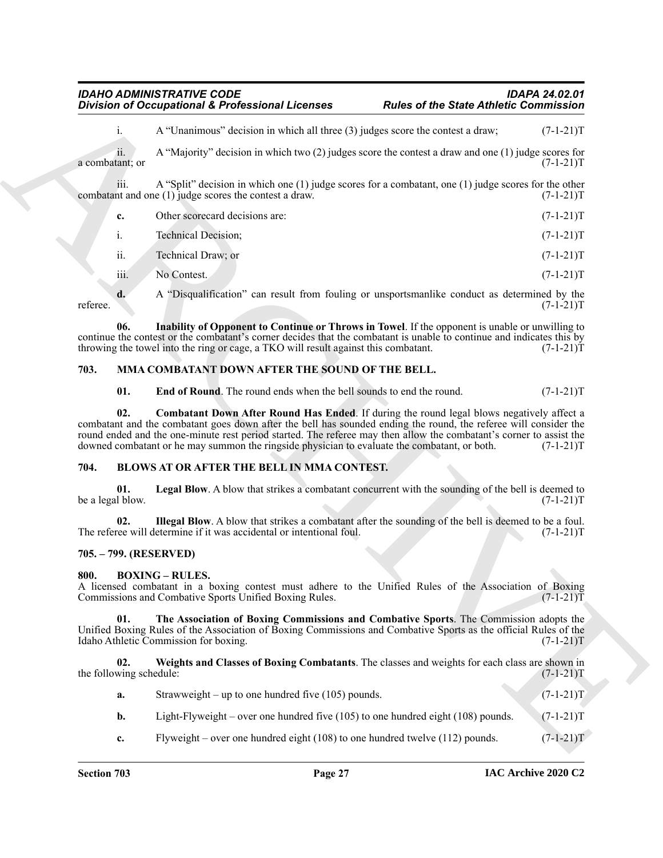# iii. A "Split" decision in which one (1) judge scores for a combatant, one (1) judge scores for the other nt and one (1) judge scores the contest a draw.  $(7-1-21)T$ combatant and one  $(1)$  judge scores the contest a draw.

|                       | Other scorecard decisions are: | $(7-1-21)T$ |
|-----------------------|--------------------------------|-------------|
|                       | <b>Technical Decision;</b>     | $(7-1-21)T$ |
| $\ddot{\mathbf{u}}$ . | Technical Draw; or             | $(7-1-21)T$ |

*IDAHO ADMINISTRATIVE CODE IDAPA 24.02.01*

# <span id="page-26-12"></span><span id="page-26-11"></span><span id="page-26-10"></span><span id="page-26-9"></span><span id="page-26-0"></span>**703. MMA COMBATANT DOWN AFTER THE SOUND OF THE BELL.**

# <span id="page-26-6"></span><span id="page-26-4"></span><span id="page-26-1"></span>**704. BLOWS AT OR AFTER THE BELL IN MMA CONTEST.**

# <span id="page-26-5"></span><span id="page-26-2"></span>**705. – 799. (RESERVED)**

# <span id="page-26-8"></span><span id="page-26-7"></span><span id="page-26-3"></span>**800. BOXING – RULES.**

|                                                         | <b>Division of Occupational &amp; Professional Licenses</b>                                                                                                                                                                                                                                                                                                                                                                                 | <b>Rules of the State Athletic Commission</b> |             |  |
|---------------------------------------------------------|---------------------------------------------------------------------------------------------------------------------------------------------------------------------------------------------------------------------------------------------------------------------------------------------------------------------------------------------------------------------------------------------------------------------------------------------|-----------------------------------------------|-------------|--|
| i.                                                      | A "Unanimous" decision in which all three (3) judges score the contest a draw;                                                                                                                                                                                                                                                                                                                                                              |                                               | $(7-1-21)T$ |  |
| ii.<br>a combatant; or                                  | A "Majority" decision in which two $(2)$ judges score the contest a draw and one $(1)$ judge scores for                                                                                                                                                                                                                                                                                                                                     |                                               | $(7-1-21)T$ |  |
| iii.                                                    | A "Split" decision in which one $(1)$ judge scores for a combatant, one $(1)$ judge scores for the other<br>combatant and one (1) judge scores the contest a draw.                                                                                                                                                                                                                                                                          |                                               | $(7-1-21)T$ |  |
| c.                                                      | Other scorecard decisions are:                                                                                                                                                                                                                                                                                                                                                                                                              |                                               | $(7-1-21)T$ |  |
| i.                                                      | <b>Technical Decision;</b>                                                                                                                                                                                                                                                                                                                                                                                                                  |                                               | $(7-1-21)T$ |  |
| ii.                                                     | Technical Draw; or                                                                                                                                                                                                                                                                                                                                                                                                                          |                                               | $(7-1-21)T$ |  |
| iii.                                                    | No Contest.                                                                                                                                                                                                                                                                                                                                                                                                                                 |                                               | $(7-1-21)T$ |  |
| d.<br>referee.                                          | A "Disqualification" can result from fouling or unsportsmanlike conduct as determined by the                                                                                                                                                                                                                                                                                                                                                |                                               | $(7-1-21)T$ |  |
| 06.                                                     | Inability of Opponent to Continue or Throws in Towel. If the opponent is unable or unwilling to<br>continue the contest or the combatant's corner decides that the combatant is unable to continue and indicates this by<br>throwing the towel into the ring or cage, a TKO will result against this combatant.                                                                                                                             |                                               | $(7-1-21)T$ |  |
| MMA COMBATANT DOWN AFTER THE SOUND OF THE BELL.<br>703. |                                                                                                                                                                                                                                                                                                                                                                                                                                             |                                               |             |  |
| 01.                                                     | End of Round. The round ends when the bell sounds to end the round.                                                                                                                                                                                                                                                                                                                                                                         |                                               | $(7-1-21)T$ |  |
| 02.                                                     | <b>Combatant Down After Round Has Ended.</b> If during the round legal blows negatively affect a<br>combatant and the combatant goes down after the bell has sounded ending the round, the referee will consider the<br>round ended and the one-minute rest period started. The referee may then allow the combatant's corner to assist the<br>downed combatant or he may summon the ringside physician to evaluate the combatant, or both. |                                               | $(7-1-21)T$ |  |
| 704.<br>BLOWS AT OR AFTER THE BELL IN MMA CONTEST.      |                                                                                                                                                                                                                                                                                                                                                                                                                                             |                                               |             |  |
| 01.<br>be a legal blow.                                 | Legal Blow. A blow that strikes a combatant concurrent with the sounding of the bell is deemed to                                                                                                                                                                                                                                                                                                                                           |                                               | $(7-1-21)T$ |  |
| 02.                                                     | Illegal Blow. A blow that strikes a combatant after the sounding of the bell is deemed to be a foul.<br>The referee will determine if it was accidental or intentional foul.                                                                                                                                                                                                                                                                |                                               | $(7-1-21)T$ |  |
| 705. – 799. (RESERVED)                                  |                                                                                                                                                                                                                                                                                                                                                                                                                                             |                                               |             |  |
| 800.                                                    | <b>BOXING - RULES.</b><br>A licensed combatant in a boxing contest must adhere to the Unified Rules of the Association of Boxing<br>Commissions and Combative Sports Unified Boxing Rules.                                                                                                                                                                                                                                                  |                                               | $(7-1-21)T$ |  |
| 01.                                                     | The Association of Boxing Commissions and Combative Sports. The Commission adopts the<br>Unified Boxing Rules of the Association of Boxing Commissions and Combative Sports as the official Rules of the<br>Idaho Athletic Commission for boxing.                                                                                                                                                                                           |                                               | $(7-1-21)T$ |  |
| 02.<br>the following schedule:                          | Weights and Classes of Boxing Combatants. The classes and weights for each class are shown in                                                                                                                                                                                                                                                                                                                                               |                                               | $(7-1-21)T$ |  |
|                                                         | Strawweight – up to one hundred five $(105)$ pounds.                                                                                                                                                                                                                                                                                                                                                                                        |                                               | $(7-1-21)T$ |  |
| a.                                                      |                                                                                                                                                                                                                                                                                                                                                                                                                                             |                                               |             |  |
| b.                                                      | Light-Flyweight – over one hundred five $(105)$ to one hundred eight $(108)$ pounds.                                                                                                                                                                                                                                                                                                                                                        |                                               | $(7-1-21)T$ |  |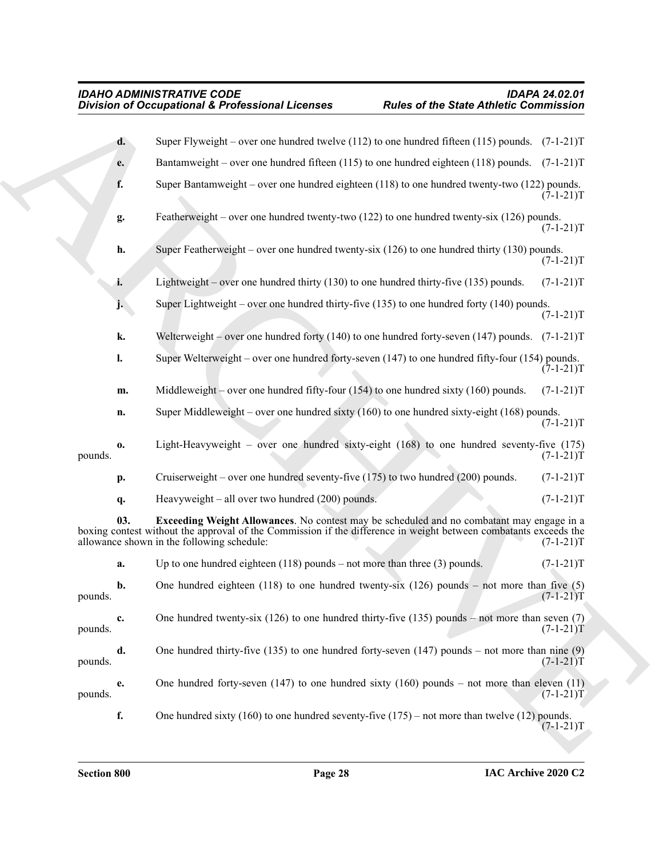<span id="page-27-0"></span>

| Super Flyweight – over one hundred twelve (112) to one hundred fifteen (115) pounds. $(7-1-21)$ T<br>d.<br>Bantamweight – over one hundred fifteen (115) to one hundred eighteen (118) pounds. $(7-1-21)$ T<br>e.<br>f.<br>Super Bantamweight – over one hundred eighteen $(118)$ to one hundred twenty-two $(122)$ pounds.<br>Featherweight – over one hundred twenty-two (122) to one hundred twenty-six (126) pounds.<br>g.<br>h.<br>Super Featherweight – over one hundred twenty-six $(126)$ to one hundred thirty $(130)$ pounds.<br>Lightweight – over one hundred thirty $(130)$ to one hundred thirty-five $(135)$ pounds.<br>i.<br>Super Lightweight – over one hundred thirty-five $(135)$ to one hundred forty $(140)$ pounds.<br>j.<br>k.<br>Welterweight - over one hundred forty (140) to one hundred forty-seven (147) pounds. (7-1-21)T | $(7-1-21)T$<br>$(7-1-21)T$<br>$(7-1-21)T$<br>$(7-1-21)T$<br>$(7-1-21)T$ |
|----------------------------------------------------------------------------------------------------------------------------------------------------------------------------------------------------------------------------------------------------------------------------------------------------------------------------------------------------------------------------------------------------------------------------------------------------------------------------------------------------------------------------------------------------------------------------------------------------------------------------------------------------------------------------------------------------------------------------------------------------------------------------------------------------------------------------------------------------------|-------------------------------------------------------------------------|
|                                                                                                                                                                                                                                                                                                                                                                                                                                                                                                                                                                                                                                                                                                                                                                                                                                                          |                                                                         |
|                                                                                                                                                                                                                                                                                                                                                                                                                                                                                                                                                                                                                                                                                                                                                                                                                                                          |                                                                         |
|                                                                                                                                                                                                                                                                                                                                                                                                                                                                                                                                                                                                                                                                                                                                                                                                                                                          |                                                                         |
|                                                                                                                                                                                                                                                                                                                                                                                                                                                                                                                                                                                                                                                                                                                                                                                                                                                          |                                                                         |
|                                                                                                                                                                                                                                                                                                                                                                                                                                                                                                                                                                                                                                                                                                                                                                                                                                                          |                                                                         |
|                                                                                                                                                                                                                                                                                                                                                                                                                                                                                                                                                                                                                                                                                                                                                                                                                                                          |                                                                         |
|                                                                                                                                                                                                                                                                                                                                                                                                                                                                                                                                                                                                                                                                                                                                                                                                                                                          |                                                                         |
|                                                                                                                                                                                                                                                                                                                                                                                                                                                                                                                                                                                                                                                                                                                                                                                                                                                          |                                                                         |
| l.<br>Super Welterweight – over one hundred forty-seven $(147)$ to one hundred fifty-four $(154)$ pounds.                                                                                                                                                                                                                                                                                                                                                                                                                                                                                                                                                                                                                                                                                                                                                | $(7-1-21)T$                                                             |
| Middleweight – over one hundred fifty-four $(154)$ to one hundred sixty $(160)$ pounds.<br>m.                                                                                                                                                                                                                                                                                                                                                                                                                                                                                                                                                                                                                                                                                                                                                            | $(7-1-21)T$                                                             |
| Super Middleweight – over one hundred sixty $(160)$ to one hundred sixty-eight $(168)$ pounds.<br>n.                                                                                                                                                                                                                                                                                                                                                                                                                                                                                                                                                                                                                                                                                                                                                     | $(7-1-21)T$                                                             |
| Light-Heavyweight – over one hundred sixty-eight $(168)$ to one hundred seventy-five $(175)$<br>0.<br>pounds.                                                                                                                                                                                                                                                                                                                                                                                                                                                                                                                                                                                                                                                                                                                                            | $(7-1-21)T$                                                             |
| Cruiserweight – over one hundred seventy-five $(175)$ to two hundred $(200)$ pounds.<br>р.                                                                                                                                                                                                                                                                                                                                                                                                                                                                                                                                                                                                                                                                                                                                                               | $(7-1-21)T$                                                             |
| Heavyweight - all over two hundred (200) pounds.<br>q.                                                                                                                                                                                                                                                                                                                                                                                                                                                                                                                                                                                                                                                                                                                                                                                                   | $(7-1-21)T$                                                             |
| Exceeding Weight Allowances. No contest may be scheduled and no combatant may engage in a<br>03.<br>boxing contest without the approval of the Commission if the difference in weight between combatants exceeds the<br>allowance shown in the following schedule:                                                                                                                                                                                                                                                                                                                                                                                                                                                                                                                                                                                       | $(7-1-21)T$                                                             |
| Up to one hundred eighteen $(118)$ pounds – not more than three $(3)$ pounds.<br>a.                                                                                                                                                                                                                                                                                                                                                                                                                                                                                                                                                                                                                                                                                                                                                                      | $(7-1-21)T$                                                             |
| One hundred eighteen (118) to one hundred twenty-six (126) pounds – not more than five (5)<br>b.<br>pounds.                                                                                                                                                                                                                                                                                                                                                                                                                                                                                                                                                                                                                                                                                                                                              | $(7-1-21)T$                                                             |
| One hundred twenty-six (126) to one hundred thirty-five (135) pounds – not more than seven (7)<br>c.<br>pounds.                                                                                                                                                                                                                                                                                                                                                                                                                                                                                                                                                                                                                                                                                                                                          | $(7-1-21)T$                                                             |
| One hundred thirty-five (135) to one hundred forty-seven (147) pounds – not more than nine (9)<br>d.<br>pounds.                                                                                                                                                                                                                                                                                                                                                                                                                                                                                                                                                                                                                                                                                                                                          | $(7-1-21)T$                                                             |
| One hundred forty-seven $(147)$ to one hundred sixty $(160)$ pounds – not more than eleven $(11)$<br>e.<br>pounds.                                                                                                                                                                                                                                                                                                                                                                                                                                                                                                                                                                                                                                                                                                                                       | $(7-1-21)T$                                                             |
| f.<br>One hundred sixty (160) to one hundred seventy-five $(175)$ – not more than twelve (12) pounds.                                                                                                                                                                                                                                                                                                                                                                                                                                                                                                                                                                                                                                                                                                                                                    | $(7-1-21)T$                                                             |
|                                                                                                                                                                                                                                                                                                                                                                                                                                                                                                                                                                                                                                                                                                                                                                                                                                                          |                                                                         |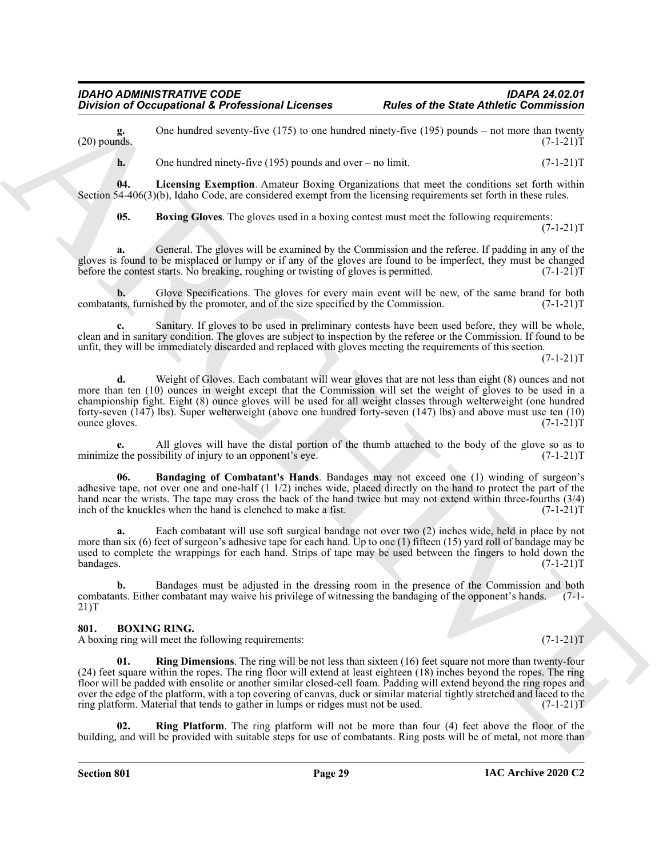**g.** One hundred seventy-five (175) to one hundred ninety-five (195) pounds – not more than twenty (20) pounds.  $(7-1-21)T$  $(20)$  pounds.  $(7-1-21)$ T

<span id="page-28-3"></span>**h.** One hundred ninety-five (195) pounds and over – no limit. (7-1-21)T

**04. Licensing Exemption**. Amateur Boxing Organizations that meet the conditions set forth within Section 54-406(3)(b), Idaho Code, are considered exempt from the licensing requirements set forth in these rules.

<span id="page-28-2"></span>**05. Boxing Gloves**. The gloves used in a boxing contest must meet the following requirements:  $(7-1-21)T$ 

**a.** General. The gloves will be examined by the Commission and the referee. If padding in any of the gloves is found to be misplaced or lumpy or if any of the gloves are found to be imperfect, they must be changed before the contest starts. No breaking, roughing or twisting of gloves is permitted.  $(7-1-21)$ T

**b.** Glove Specifications. The gloves for every main event will be new, of the same brand for both nts, furnished by the promoter, and of the size specified by the Commission. (7-1-21) combatants, furnished by the promoter, and  $\delta$  the size specified by the Commission.

**c.** Sanitary. If gloves to be used in preliminary contests have been used before, they will be whole, clean and in sanitary condition. The gloves are subject to inspection by the referee or the Commission. If found to be unfit, they will be immediately discarded and replaced with gloves meeting the requirements of this section.

 $(7-1-21)T$ 

Division of Comparisonal & Professional Licenses<br>
(26) youth model something of the State Anthony Comparison in the state Anthony Comparison in the state of the state of the state of the state of the state of the state of **d.** Weight of Gloves. Each combatant will wear gloves that are not less than eight (8) ounces and not more than ten (10) ounces in weight except that the Commission will set the weight of gloves to be used in a championship fight. Eight (8) ounce gloves will be used for all weight classes through welterweight (one hundred forty-seven (147) lbs). Super welterweight (above one hundred forty-seven (147) lbs) and above must use ten (10) ounce gloves.

**e.** All gloves will have the distal portion of the thumb attached to the body of the glove so as to the possibility of injury to an opponent's eye. (7-1-21) minimize the possibility of injury to an opponent's eye.

<span id="page-28-1"></span>**Bandaging of Combatant's Hands**. Bandages may not exceed one (1) winding of surgeon's adhesive tape, not over one and one-half (1 1/2) inches wide, placed directly on the hand to protect the part of the hand near the wrists. The tape may cross the back of the hand twice but may not extend within three-fourths  $(3/4)$ inch of the knuckles when the hand is clenched to make a fist. (7-1-21)T

**a.** Each combatant will use soft surgical bandage not over two (2) inches wide, held in place by not more than six (6) feet of surgeon's adhesive tape for each hand. Up to one (1) fifteen (15) yard roll of bandage may be used to complete the wrappings for each hand. Strips of tape may be used between the fingers to hold down the bandages. (7-1-21)T

**b.** Bandages must be adjusted in the dressing room in the presence of the Commission and both combatants. Either combatant may waive his privilege of witnessing the bandaging of the opponent's hands. (7-1- 21)T

#### <span id="page-28-4"></span><span id="page-28-0"></span>**801. BOXING RING.**

A boxing ring will meet the following requirements: (7-1-21)T

<span id="page-28-5"></span>**Ring Dimensions**. The ring will be not less than sixteen (16) feet square not more than twenty-four (24) feet square within the ropes. The ring floor will extend at least eighteen (18) inches beyond the ropes. The ring floor will be padded with ensolite or another similar closed-cell foam. Padding will extend beyond the ring ropes and over the edge of the platform, with a top covering of canvas, duck or similar material tightly stretched and laced to the ring platform. Material that tends to gather in lumps or ridges must not be used. (7-1-21)T

<span id="page-28-6"></span>**Ring Platform**. The ring platform will not be more than four (4) feet above the floor of the building, and will be provided with suitable steps for use of combatants. Ring posts will be of metal, not more than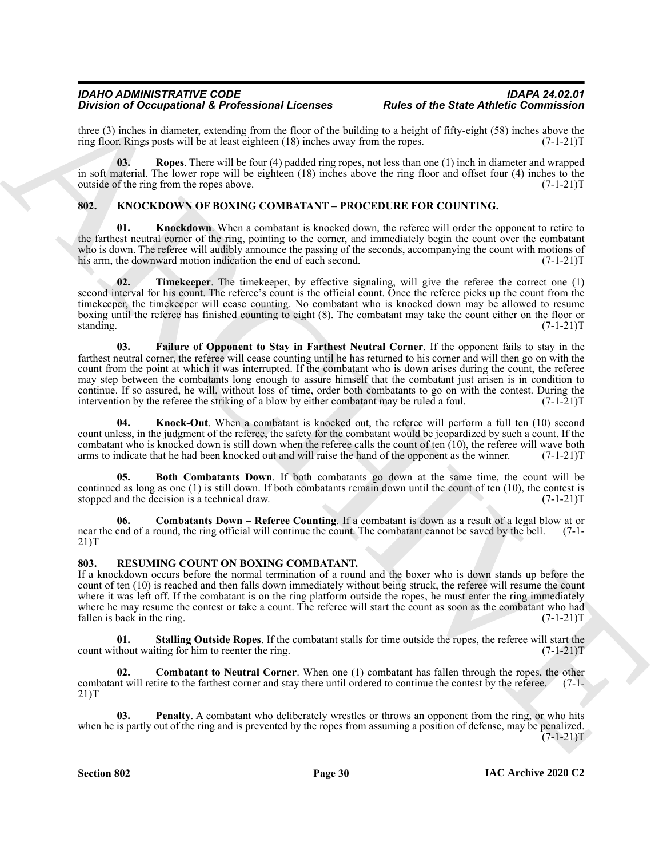three (3) inches in diameter, extending from the floor of the building to a height of fifty-eight (58) inches above the ring floor. Rings posts will be at least eighteen (18) inches away from the ropes.  $(7-1-21)$ ring floor. Rings posts will be at least eighteen  $(18)$  inches away from the ropes.

<span id="page-29-2"></span>**03.** Ropes. There will be four (4) padded ring ropes, not less than one (1) inch in diameter and wrapped in soft material. The lower rope will be eighteen (18) inches above the ring floor and offset four (4) inches to the outside of the ring from the ropes above.  $(7-1-21)$ outside of the ring from the ropes above.

### <span id="page-29-3"></span><span id="page-29-0"></span>**802. KNOCKDOWN OF BOXING COMBATANT – PROCEDURE FOR COUNTING.**

<span id="page-29-7"></span>**01.** Knockdown. When a combatant is knocked down, the referee will order the opponent to retire to the farthest neutral corner of the ring, pointing to the corner, and immediately begin the count over the combatant who is down. The referee will audibly announce the passing of the seconds, accompanying the count with motions of his arm, the downward motion indication the end of each second.  $(7-1-21)$ his arm, the downward motion indication the end of each second.

<span id="page-29-9"></span><span id="page-29-6"></span>**02. Timekeeper**. The timekeeper, by effective signaling, will give the referee the correct one (1) second interval for his count. The referee's count is the official count. Once the referee picks up the count from the timekeeper, the timekeeper will cease counting. No combatant who is knocked down may be allowed to resume boxing until the referee has finished counting to eight (8). The combatant may take the count either on the floor or standing. (7-1-21)T

Division of Octombroad A Professional Lemons C. Poles with the spin of the State Anthony C. State Anti-<br>
Archives the spin of the spin of the spin of the spin of the spin of the spin of the spin of the spin of the spin of **03. Failure of Opponent to Stay in Farthest Neutral Corner**. If the opponent fails to stay in the farthest neutral corner, the referee will cease counting until he has returned to his corner and will then go on with the count from the point at which it was interrupted. If the combatant who is down arises during the count, the referee may step between the combatants long enough to assure himself that the combatant just arisen is in condition to continue. If so assured, he will, without loss of time, order both combatants to go on with the contest. During the intervention by the referee the striking of a blow by either combatant may be ruled a foul. (7-1-21)T

<span id="page-29-8"></span>**Knock-Out**. When a combatant is knocked out, the referee will perform a full ten (10) second count unless, in the judgment of the referee, the safety for the combatant would be jeopardized by such a count. If the combatant who is knocked down is still down when the referee calls the count of ten (10), the referee will wave both arms to indicate that he had been knocked out and will raise the hand of the opponent as the winner.  $(7$ arms to indicate that he had been knocked out and will raise the hand of the opponent as the winner.

<span id="page-29-4"></span>**Both Combatants Down**. If both combatants go down at the same time, the count will be continued as long as one (1) is still down. If both combatants remain down until the count of ten (10), the contest is stopped and the decision is a technical draw.  $(7-1-21)$ stopped and the decision is a technical draw.

<span id="page-29-5"></span>**Combatants Down – Referee Counting**. If a combatant is down as a result of a legal blow at or ound, the ring official will continue the count. The combatant cannot be saved by the bell. (7-1near the end of a round, the ring official will continue the count. The combatant cannot be saved by the bell. 21)T

#### <span id="page-29-10"></span><span id="page-29-1"></span>**803. RESUMING COUNT ON BOXING COMBATANT.**

If a knockdown occurs before the normal termination of a round and the boxer who is down stands up before the count of ten (10) is reached and then falls down immediately without being struck, the referee will resume the count where it was left off. If the combatant is on the ring platform outside the ropes, he must enter the ring immediately where he may resume the contest or take a count. The referee will start the count as soon as the combatant who had fallen is back in the ring. (7-1-21)T fallen is back in the ring.

<span id="page-29-13"></span>**01. Stalling Outside Ropes**. If the combatant stalls for time outside the ropes, the referee will start the count without waiting for him to reenter the ring. (7-1-21)T

<span id="page-29-11"></span>**02. Combatant to Neutral Corner**. When one (1) combatant has fallen through the ropes, the other combatant will retire to the farthest corner and stay there until ordered to continue the contest by the referee. (7-1- 21)T

<span id="page-29-12"></span>**03. Penalty**. A combatant who deliberately wrestles or throws an opponent from the ring, or who hits when he is partly out of the ring and is prevented by the ropes from assuming a position of defense, may be penalized.  $(7-1-21)T$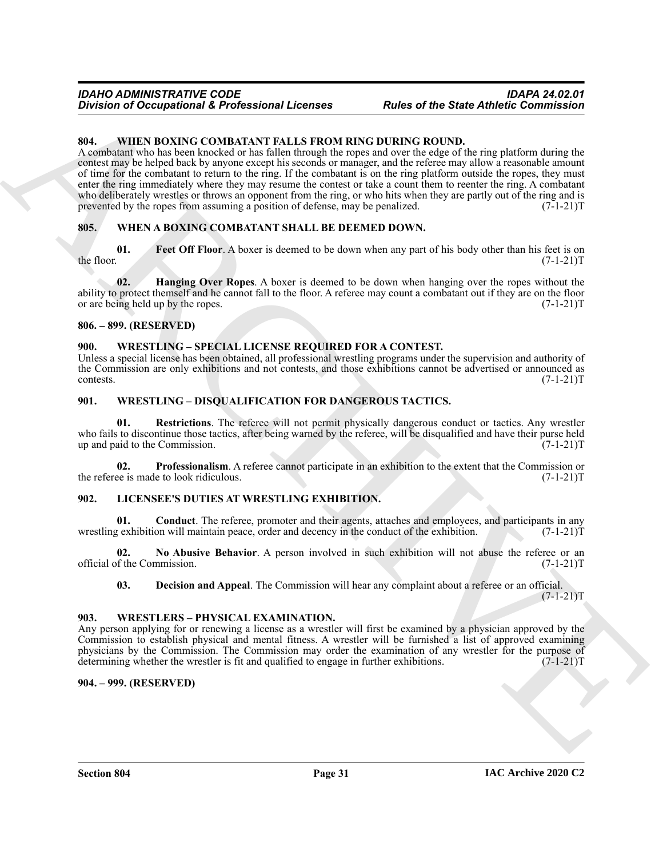#### <span id="page-30-15"></span><span id="page-30-0"></span>**804. WHEN BOXING COMBATANT FALLS FROM RING DURING ROUND.**

Division of Occupational & Professional Licenses<br>
SHE of the State Antheir Commission<br>
SHE VINEYIOR NOUNCEATATIVE FROM HIMO (HOLD URINGER) (RECEIVED FROM THE CONDUCT COMMISSION COMMISSION COMMISSION COMMISSION CONDUCT CON A combatant who has been knocked or has fallen through the ropes and over the edge of the ring platform during the contest may be helped back by anyone except his seconds or manager, and the referee may allow a reasonable amount of time for the combatant to return to the ring. If the combatant is on the ring platform outside the ropes, they must enter the ring immediately where they may resume the contest or take a count them to reenter the ring. A combatant who deliberately wrestles or throws an opponent from the ring, or who hits when they are partly out of the ring and is prevented by the ropes from assuming a position of defense, may be penalized.  $(7-1-21)T$ 

#### <span id="page-30-12"></span><span id="page-30-1"></span>**805. WHEN A BOXING COMBATANT SHALL BE DEEMED DOWN.**

<span id="page-30-13"></span>**01.** Feet Off Floor. A boxer is deemed to be down when any part of his body other than his feet is on the floor.  $(7-1-21)T$ the floor.  $(7-1-21)T$ 

<span id="page-30-14"></span>**02. Hanging Over Ropes**. A boxer is deemed to be down when hanging over the ropes without the ability to protect themself and he cannot fall to the floor. A referee may count a combatant out if they are on the floor or are being held up by the ropes.  $(7-1-21)$ or are being held up by the ropes.

#### <span id="page-30-2"></span>**806. – 899. (RESERVED)**

#### <span id="page-30-20"></span><span id="page-30-3"></span>**900. WRESTLING – SPECIAL LICENSE REQUIRED FOR A CONTEST.**

Unless a special license has been obtained, all professional wrestling programs under the supervision and authority of the Commission are only exhibitions and not contests, and those exhibitions cannot be advertised or announced as contests. (7-1-21) contests. (7-1-21)T

#### <span id="page-30-17"></span><span id="page-30-4"></span>**901. WRESTLING – DISQUALIFICATION FOR DANGEROUS TACTICS.**

<span id="page-30-19"></span>**01. Restrictions**. The referee will not permit physically dangerous conduct or tactics. Any wrestler who fails to discontinue those tactics, after being warned by the referee, will be disqualified and have their purse held<br>(7-1-21)T up and paid to the Commission.

<span id="page-30-18"></span>**02. Professionalism**. A referee cannot participate in an exhibition to the extent that the Commission or ee is made to look ridiculous. (7-1-21) the referee is made to look ridiculous.

#### <span id="page-30-8"></span><span id="page-30-5"></span>**902. LICENSEE'S DUTIES AT WRESTLING EXHIBITION.**

<span id="page-30-9"></span>**Conduct**. The referee, promoter and their agents, attaches and employees, and participants in any on will maintain peace, order and decency in the conduct of the exhibition. (7-1-21)T wrestling exhibition will maintain peace, order and decency in the conduct of the exhibition.

**02.** No Abusive Behavior. A person involved in such exhibition will not abuse the referee or an of the Commission. (7-1-21) official of the Commission.

<span id="page-30-16"></span><span id="page-30-11"></span><span id="page-30-10"></span>**03. Decision and Appeal**. The Commission will hear any complaint about a referee or an official.

 $(7-1-21)T$ 

#### <span id="page-30-6"></span>**903. WRESTLERS – PHYSICAL EXAMINATION.**

Any person applying for or renewing a license as a wrestler will first be examined by a physician approved by the Commission to establish physical and mental fitness. A wrestler will be furnished a list of approved examining physicians by the Commission. The Commission may order the examination of any wrestler for the purpose of determining whether the wrestler is fit and qualified to engage in further exhibitions.  $(7-1-21)T$ determining whether the wrestler is fit and qualified to engage in further exhibitions.

#### <span id="page-30-7"></span>**904. – 999. (RESERVED)**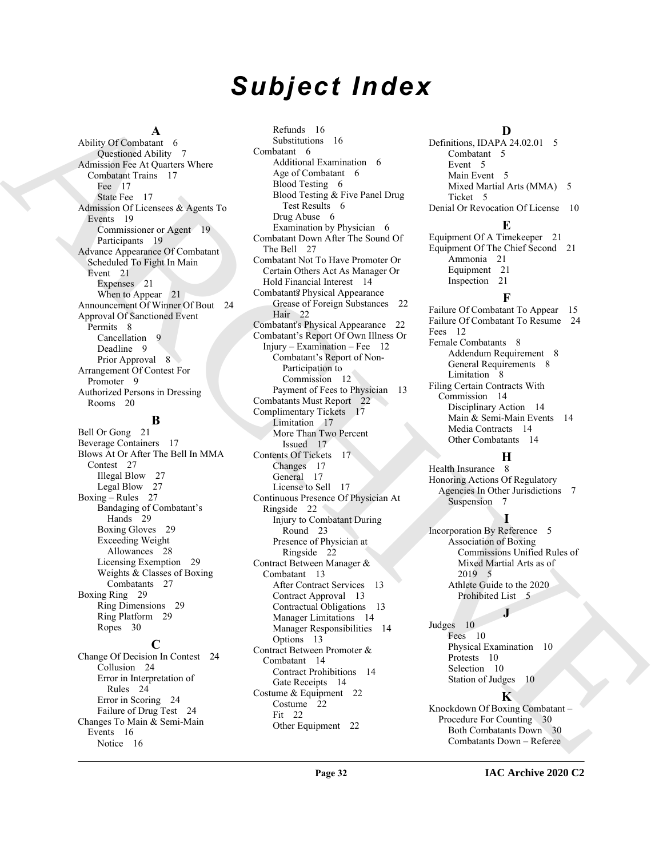# *Subject Index*

#### **A**

Ability Of Combatant 6 Questioned Ability 7 Admission Fee At Quarters Where Combatant Trains 17 Fee 17 State Fee 17 Admission Of Licensees & Agents To Events 19 Commissioner or Agent 19 Participants 19 Advance Appearance Of Combatant Scheduled To Fight In Main Event 21 Expenses 21 When to Appear 21 Announcement Of Winner Of Bout 24 Approval Of Sanctioned Event Permits 8 Cancellation 9 Deadline 9 Prior Approval 8 Arrangement Of Contest For Promoter 9 Authorized Persons in Dressing Rooms 20

#### **B**

Bell Or Gong 21 Beverage Containers 17 Blows At Or After The Bell In MMA Contest 27 Illegal Blow 27 Legal Blow 27 Boxing – Rules 27 Bandaging of Combatant's Hands 29 Boxing Gloves 29 Exceeding Weight Allowances 28 Licensing Exemption 29 Weights & Classes of Boxing Combatants 27 Boxing Ring 29 Ring Dimensions 29 Ring Platform 29 Ropes 30

#### **C**

Change Of Decision In Contest 24 Collusion 24 Error in Interpretation of Rules 24 Error in Scoring 24 Failure of Drug Test 24 Changes To Main & Semi-Main Events 16 Notice 16

Admity [C](#page-11-6)haracterize Communication (Section 19)<br>
Archives Communication (Section 2)<br>
Communication (Section 2)<br>
Communication (Section 2)<br>
Communication (Section 2)<br>
Communication (Section 2)<br>
Communication (Section 2)<br>
Co Refunds 16 Substitutions 16 Combatant 6 Additional Examination 6 Age of Combatant 6 Blood Testing 6 Blood Testing & Five Panel Drug Test Results 6 Drug Abuse 6 Examination by Physician 6 Combatant Down After The Sound Of The Bell 27 Combatant Not To Have Promoter Or Certain Others Act As Manager Or Hold Financial Interest 14 Combatant? Physical Appearance Grease of Foreign Substances 22 Hair 22 Combatant's Physical Appearance 22 Combatant's Report Of Own Illness Or Injury – Examination – Fee 12 Combatant's Report of Non-Participation to Commission 12 Payment of Fees to Physician 13 Combatants Must Report 22 Complimentary Tickets 17 Limitation 17 More Than Two Percent Issued 17 Contents Of Tickets 17 Changes 17 General 17 License to Sell 17 Continuous Presence Of Physician At Ringside 22 Injury to Combatant During Round 23 Presence of Physician at Ringside 22 Contract Between Manager & Combatant 13 After Contract Services 13 Contract Approval 13 Contractual Obligations 13 Manager Limitations 14 Manager Responsibilities 14 Options 13 Contract Between Promoter & Combatant 14 Contract Prohibitions 14 Gate Receipts 14 Costume & Equipment 22 Costume 22 Fit 22

### **D**

Definitions, IDAPA 24.02.01 5 Combatant 5 Event 5 Main Event 5 Mixed Martial Arts (MMA) 5 Ticket 5 Denial Or Revocation Of License 10

Equipment Of A Timekeeper 21 Equipment Of The Chief Second 21 Ammonia 21 Equipment 21 Inspection 21

**E**

### **F**

Failure Of Combatant To Appear 15 Failure Of Combatant To Resume 24 Fees 12 Female Combatants 8 Addendum Requirement 8 General Requirements 8 Limitation 8 Filing Certain Contracts With Commission 14 Disciplinary Action 14 Main & Semi-Main Events 14 Media Contracts 14 Other Combatants 14

### **H**

Health Insurance 8 Honoring Actions Of Regulatory Agencies In Other Jurisdictions 7 Suspension 7

### **I**

Incorporation By Reference 5 Association of Boxing Commissions Unified Rules of Mixed Martial Arts as of 2019 5 Athlete Guide to the 2020 Prohibited List 5

**J**

Judges 10 Fees 10 Physical Examination 10 Protests 10 Selection 10 Station of Judges 10

#### **K**

Knockdown Of Boxing Combatant – Procedure For Counting 30 Both Combatants Down 30 Combatants Down – Referee

Other Equipment 22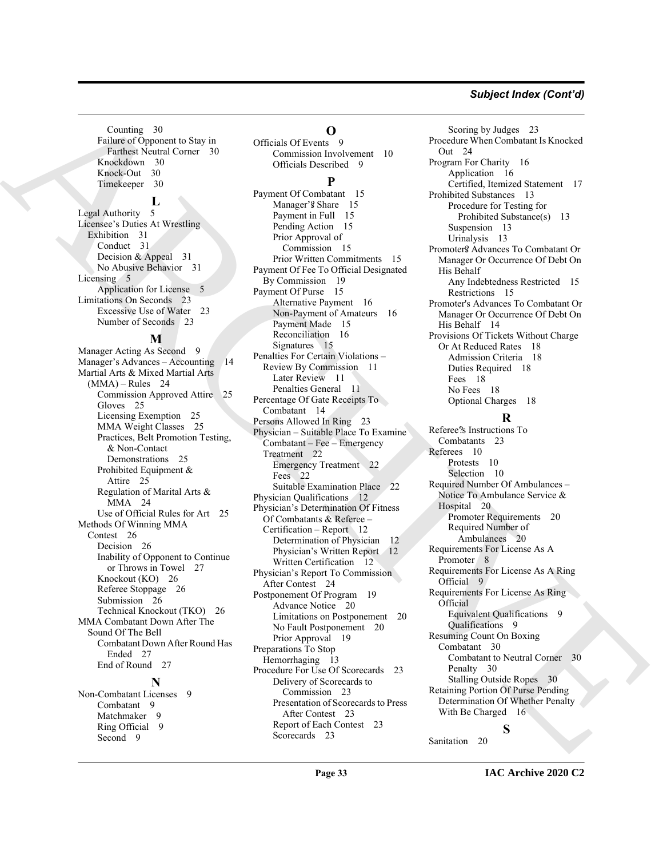#### *Subject Index (Cont'd)*

Counting 30 Failure of Opponent to Stay in Farthest Neutral Corner 30 Knockdown 30 Knock-Out 30 Timekeeper 30

#### **L**

Legal Authority 5 Licensee's Duties At Wrestling Exhibition 31 Conduct 31 Decision & Appeal 31 No Abusive Behavior 31 Licensing 5 Application for License 5 Limitations On Seconds 23 Excessive Use of Water 23 Number of Seconds 23

#### **M**

Manager Acting As Second 9 Manager's Advances – Accounting 14 Martial Arts & Mixed Martial Arts  $(MMA)$  – Rules 24 Commission Approved Attire 25 Gloves 25 Licensing Exemption 25 MMA Weight Classes 25 Practices, Belt Promotion Testing, & Non-Contact Demonstrations 25 Prohibited Equipment & Attire 25 Regulation of Marital Arts & MMA 24 Use of Official Rules for Art 25 Methods Of Winning MMA Contest 26 Decision 26 Inability of Opponent to Continue or Throws in Towel 27 Knockout (KO) 26 Referee Stoppage 26 Submission 26 Technical Knockout (TKO) 26 MMA Combatant Down After The Sound Of The Bell Combatant Down After Round Has Ended 27 End of Round 27 **N**

Non-Combatant Licenses 9 Combatant 9 Matchmaker 9 Ring Official 9 Second 9

#### **O**

Officials Of Events 9 Commission Involvement 10 Officials Described 9

#### **P**

 $\begin{tabular}{|c||c||c|} \hline \multicolumn{3}{c}{\textbf{F. (a)} $\mathcal{R}$ & $\mathcal{R}$ & $\mathcal{R}$ & $\mathcal{R}$ & $\mathcal{R}$ & $\mathcal{R}$ & $\mathcal{R}$ & $\mathcal{R}$ & $\mathcal{R}$ & $\mathcal{R}$ & $\mathcal{R}$ & $\mathcal{R}$ & $\mathcal{R}$ & $\mathcal{R}$ & $\mathcal{R}$ & $\mathcal{R}$ & $\mathcal{R}$ & $\mathcal{R}$ & $\mathcal{R}$ & $\mathcal{R}$ & $\mathcal{R}$ & $\mathcal{R}$ & $\mathcal{R}$ & $\mathcal{R}$ & $\mathcal{R}$ & $\mathcal{R}$ & $\mathcal$  $\begin{tabular}{|c||c||c|} \hline \multicolumn{3}{c}{\textbf{F. (a)} $\mathcal{R}$ & $\mathcal{R}$ & $\mathcal{R}$ & $\mathcal{R}$ & $\mathcal{R}$ & $\mathcal{R}$ & $\mathcal{R}$ & $\mathcal{R}$ & $\mathcal{R}$ & $\mathcal{R}$ & $\mathcal{R}$ & $\mathcal{R}$ & $\mathcal{R}$ & $\mathcal{R}$ & $\mathcal{R}$ & $\mathcal{R}$ & $\mathcal{R}$ & $\mathcal{R}$ & $\mathcal{R}$ & $\mathcal{R}$ & $\mathcal{R}$ & $\mathcal{R}$ & $\mathcal{R}$ & $\mathcal{R}$ & $\mathcal{R}$ & $\mathcal{R}$ & $\mathcal$  $\begin{tabular}{|c||c||c|} \hline \multicolumn{3}{c}{\textbf{F. (a)} $\mathcal{R}$ & $\mathcal{R}$ & $\mathcal{R}$ & $\mathcal{R}$ & $\mathcal{R}$ & $\mathcal{R}$ & $\mathcal{R}$ & $\mathcal{R}$ & $\mathcal{R}$ & $\mathcal{R}$ & $\mathcal{R}$ & $\mathcal{R}$ & $\mathcal{R}$ & $\mathcal{R}$ & $\mathcal{R}$ & $\mathcal{R}$ & $\mathcal{R}$ & $\mathcal{R}$ & $\mathcal{R}$ & $\mathcal{R}$ & $\mathcal{R}$ & $\mathcal{R}$ & $\mathcal{R}$ & $\mathcal{R}$ & $\mathcal{R}$ & $\mathcal{R}$ & $\mathcal$ Payment Of Combatant 15 Manager's Share 15 Payment in Full 15 Pending Action 15 Prior Approval of Commission 15 Prior Written Commitments 15 Payment Of Fee To Official Designated By Commission 19 Payment Of Purse 15 Alternative Payment 16 Non-Payment of Amateurs 16 Payment Made 15 Reconciliation 16 Signatures 15 Penalties For Certain Violations – Review By Commission 11 Later Review 11 Penalties General 11 Percentage Of Gate Receipts To Combatant 14 Persons Allowed In Ring 23 Physician – Suitable Place To Examine Combatant – Fee – Emergency Treatment 22 Emergency Treatment 22 Fees 22 Suitable Examination Place 22 Physician Qualifications 12 Physician's Determination Of Fitness Of Combatants & Referee – Certification – Report 12 Determination of Physician 12 Physician's Written Report 12 Written Certification 12 Physician's Report To Commission After Contest 24 Postponement Of Program 19 Advance Notice 20 Limitations on Postponement 20 No Fault Postponement 20 Prior Approval 19 Preparations To Stop Hemorrhaging 13 Procedure For Use Of Scorecards 23 Delivery of Scorecards to Commission 23 Presentation of Scorecards to Press After Contest 23 Report of Each Contest 23 Scorecards 23

Scoring by Judges 23 Procedure When Combatant Is Knocked Out 24 Program For Charity 16 Application 16 Certified, Itemized Statement 17 Prohibited Substances 13 Procedure for Testing for Prohibited Substance(s) 13 Suspension 13 Urinalysis 13 Promoter? Advances To Combatant Or Manager Or Occurrence Of Debt On His Behalf Any Indebtedness Restricted 15 Restrictions 15 Promoter's Advances To Combatant Or Manager Or Occurrence Of Debt On His Behalf 14 Provisions Of Tickets Without Charge Or At Reduced Rates 18 Admission Criteria 18 Duties Required 18 Fees 18 No Fees 18 Optional Charges 18

#### **R**

Referee?'s Instructions To Combatants 23 Referees 10 Protests 10 Selection 10 Required Number Of Ambulances – Notice To Ambulance Service & Hospital 20 Promoter Requirements 20 Required Number of Ambulances 20 Requirements For License As A Promoter 8 Requirements For License As A Ring Official 9 Requirements For License As Ring Official Equivalent Qualifications 9 Qualifications 9 Resuming Count On Boxing Combatant 30 Combatant to Neutral Corner 30 Penalty 30 Stalling Outside Ropes 30 Retaining Portion Of Purse Pending Determination Of Whether Penalty With Be Charged 16

**S**

Sanitation 20